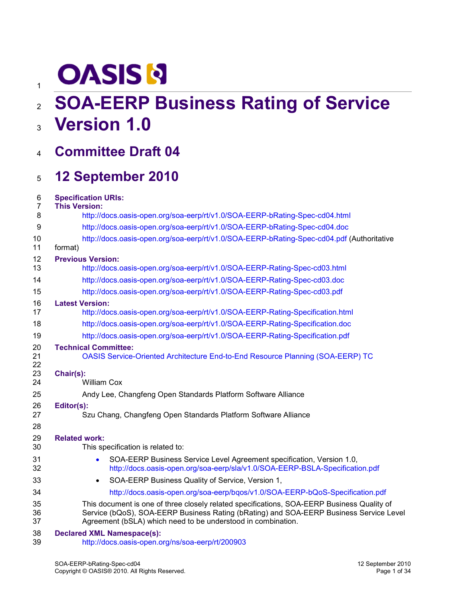# **OASIS N**

1

# <sup>2</sup>**SOA-EERP Business Rating of Service**  <sup>3</sup>**Version 1.0**

# <sup>4</sup>**Committee Draft 04**

# <sup>5</sup>**12 September 2010**

| 6<br>$\overline{7}$ | <b>Specification URIs:</b><br><b>This Version:</b>                                                                                                                                                                                                   |
|---------------------|------------------------------------------------------------------------------------------------------------------------------------------------------------------------------------------------------------------------------------------------------|
| 8                   | http://docs.oasis-open.org/soa-eerp/rt/v1.0/SOA-EERP-bRating-Spec-cd04.html                                                                                                                                                                          |
| 9                   | http://docs.oasis-open.org/soa-eerp/rt/v1.0/SOA-EERP-bRating-Spec-cd04.doc                                                                                                                                                                           |
| 10<br>11            | http://docs.oasis-open.org/soa-eerp/rt/v1.0/SOA-EERP-bRating-Spec-cd04.pdf (Authoritative<br>format)                                                                                                                                                 |
| 12<br>13            | <b>Previous Version:</b><br>http://docs.oasis-open.org/soa-eerp/rt/v1.0/SOA-EERP-Rating-Spec-cd03.html                                                                                                                                               |
| 14                  | http://docs.oasis-open.org/soa-eerp/rt/v1.0/SOA-EERP-Rating-Spec-cd03.doc                                                                                                                                                                            |
| 15                  | http://docs.oasis-open.org/soa-eerp/rt/v1.0/SOA-EERP-Rating-Spec-cd03.pdf                                                                                                                                                                            |
| 16                  | <b>Latest Version:</b>                                                                                                                                                                                                                               |
| 17                  | http://docs.oasis-open.org/soa-eerp/rt/v1.0/SOA-EERP-Rating-Specification.html                                                                                                                                                                       |
| 18                  | http://docs.oasis-open.org/soa-eerp/rt/v1.0/SOA-EERP-Rating-Specification.doc                                                                                                                                                                        |
| 19                  | http://docs.oasis-open.org/soa-eerp/rt/v1.0/SOA-EERP-Rating-Specification.pdf                                                                                                                                                                        |
| 20<br>21<br>22      | <b>Technical Committee:</b><br>OASIS Service-Oriented Architecture End-to-End Resource Planning (SOA-EERP) TC                                                                                                                                        |
| 23<br>24            | Chair(s):<br><b>William Cox</b>                                                                                                                                                                                                                      |
| 25                  | Andy Lee, Changfeng Open Standards Platform Software Alliance                                                                                                                                                                                        |
| 26<br>27            | Editor(s):<br>Szu Chang, Changfeng Open Standards Platform Software Alliance                                                                                                                                                                         |
| 28                  |                                                                                                                                                                                                                                                      |
| 29<br>30            | <b>Related work:</b><br>This specification is related to:                                                                                                                                                                                            |
| 31<br>32            | SOA-EERP Business Service Level Agreement specification, Version 1.0,<br>$\bullet$<br>http://docs.oasis-open.org/soa-eerp/sla/v1.0/SOA-EERP-BSLA-Specification.pdf                                                                                   |
| 33                  | SOA-EERP Business Quality of Service, Version 1,<br>$\bullet$                                                                                                                                                                                        |
| 34                  | http://docs.oasis-open.org/soa-eerp/bqos/v1.0/SOA-EERP-bQoS-Specification.pdf                                                                                                                                                                        |
| 35<br>36<br>37      | This document is one of three closely related specifications, SOA-EERP Business Quality of<br>Service (bQoS), SOA-EERP Business Rating (bRating) and SOA-EERP Business Service Level<br>Agreement (bSLA) which need to be understood in combination. |
| 38<br>39            | <b>Declared XML Namespace(s):</b><br>http://docs.oasis-open.org/ns/soa-eerp/rt/200903                                                                                                                                                                |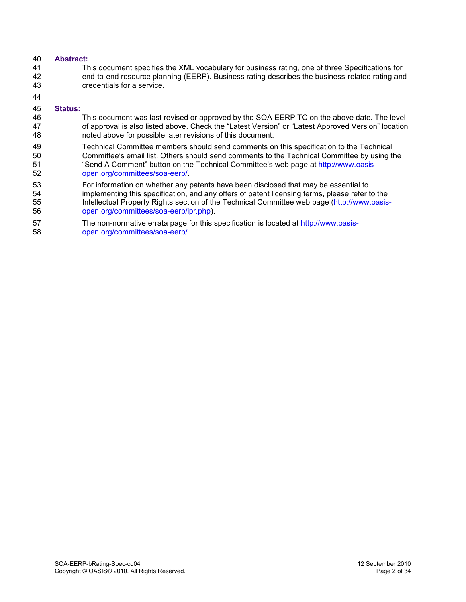# 40 **Abstract:**

- 41 This document specifies the XML vocabulary for business rating, one of three Specifications for 42 end-to-end resource planning (EERP). Business rating describes the business-related rating and<br>43 credentials for a service. credentials for a service.
- 44

- 45 **Status:**  46 This document was last revised or approved by the SOA-EERP TC on the above date. The level<br>47 of approval is also listed above. Check the "Latest Version" or "Latest Approved Version" location 47 of approval is also listed above. Check the "Latest Version" or "Latest Approved Version" location 48 noted above for possible later revisions of this document.
- 49 Technical Committee members should send comments on this specification to the Technical<br>50 Committee's email list. Others should send comments to the Technical Committee by using the 50 Committee's email list. Others should send comments to the Technical Committee by using the 51 "Send A Comment" button on the Technical Committee's web page at http://www.oasis-52 open.org/committees/soa-eerp/.
- 53 For information on whether any patents have been disclosed that may be essential to 54 implementing this specification, and any offers of patent licensing terms, please refer to the 55 Intellectual Property Rights section of the Technical Committee web page (http://www.oasis-56 open.org/committees/soa-eerp/ipr.php).
- 57 The non-normative errata page for this specification is located at http://www.oasis-58 open.org/committees/soa-eerp/.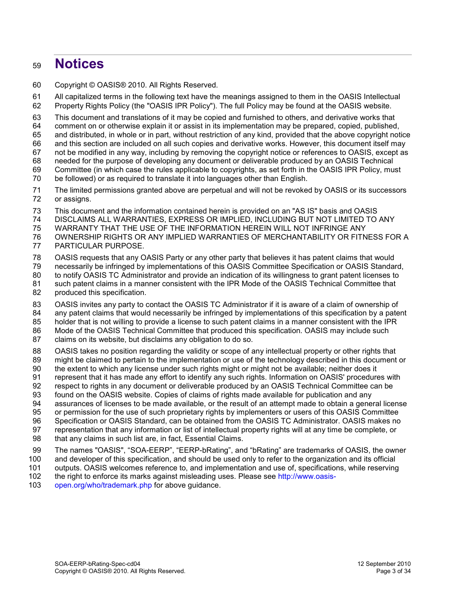### <sup>59</sup>**Notices**

60 Copyright © OASIS® 2010. All Rights Reserved.

61 All capitalized terms in the following text have the meanings assigned to them in the OASIS Intellectual 62 Property Rights Policy (the "OASIS IPR Policy"). The full Policy may be found at the OASIS website.

63 This document and translations of it may be copied and furnished to others, and derivative works that 64 comment on or otherwise explain it or assist in its implementation may be prepared, copied, published, 65 and distributed, in whole or in part, without restriction of any kind, provided that the above copyright notice

66 and this section are included on all such copies and derivative works. However, this document itself may

67 not be modified in any way, including by removing the copyright notice or references to OASIS, except as

- 68 needed for the purpose of developing any document or deliverable produced by an OASIS Technical
- 69 Committee (in which case the rules applicable to copyrights, as set forth in the OASIS IPR Policy, must 70 be followed) or as required to translate it into languages other than English.
- 71 The limited permissions granted above are perpetual and will not be revoked by OASIS or its successors 72 or assigns.
- 73 This document and the information contained herein is provided on an "AS IS" basis and OASIS
- 
- 74 DISCLAIMS ALL WARRANTIES, EXPRESS OR IMPLIED, INCLUDING BUT NOT LIMITED TO ANY 75 WARRANTY THAT THE USE OF THE INFORMATION HEREIN WILL NOT INFRINGE ANY
- 76 OWNERSHIP RIGHTS OR ANY IMPLIED WARRANTIES OF MERCHANTABILITY OR FITNESS FOR A
- 77 PARTICULAR PURPOSE.
- 78 OASIS requests that any OASIS Party or any other party that believes it has patent claims that would
- 79 necessarily be infringed by implementations of this OASIS Committee Specification or OASIS Standard,
- 80 to notify OASIS TC Administrator and provide an indication of its willingness to grant patent licenses to<br>81 such patent claims in a manner consistent with the IPR Mode of the OASIS Technical Committee that
- such patent claims in a manner consistent with the IPR Mode of the OASIS Technical Committee that 82 produced this specification.
- 83 OASIS invites any party to contact the OASIS TC Administrator if it is aware of a claim of ownership of
- 84 any patent claims that would necessarily be infringed by implementations of this specification by a patent
- 85 holder that is not willing to provide a license to such patent claims in a manner consistent with the IPR
- 86 Mode of the OASIS Technical Committee that produced this specification. OASIS may include such
- 87 claims on its website, but disclaims any obligation to do so.
- 88 OASIS takes no position regarding the validity or scope of any intellectual property or other rights that
- 89 might be claimed to pertain to the implementation or use of the technology described in this document or
- 90 the extent to which any license under such rights might or might not be available; neither does it
- 91 represent that it has made any effort to identify any such rights. Information on OASIS' procedures with
- 92 respect to rights in any document or deliverable produced by an OASIS Technical Committee can be
- 93 found on the OASIS website. Copies of claims of rights made available for publication and any
- 94 assurances of licenses to be made available, or the result of an attempt made to obtain a general license
- 95 or permission for the use of such proprietary rights by implementers or users of this OASIS Committee
- 96 Specification or OASIS Standard, can be obtained from the OASIS TC Administrator. OASIS makes no
- 97 representation that any information or list of intellectual property rights will at any time be complete, or<br>98 that any claims in such list are, in fact. Essential Claims. that any claims in such list are, in fact, Essential Claims.
- 99 The names "OASIS", "SOA-EERP", "EERP-bRating", and "bRating" are trademarks of OASIS, the owner
- 100 and developer of this specification, and should be used only to refer to the organization and its official
- 101 outputs. OASIS welcomes reference to, and implementation and use of, specifications, while reserving<br>102 the right to enforce its marks against misleading uses. Please see http://www.oasis-
- the right to enforce its marks against misleading uses. Please see http://www.oasis-
- 103 open.org/who/trademark.php for above guidance.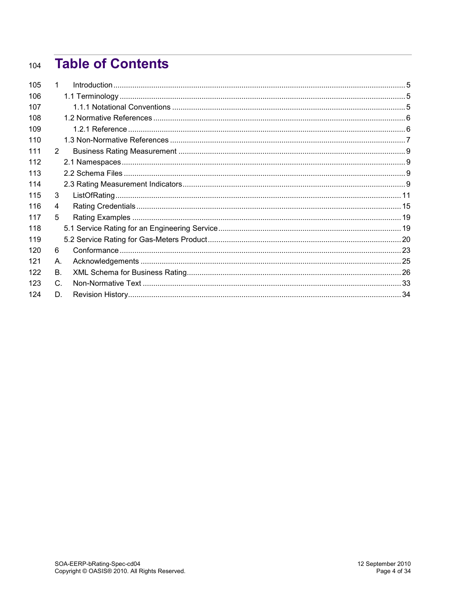#### **Table of Contents** 104

| 105 | 1  |  |
|-----|----|--|
| 106 |    |  |
| 107 |    |  |
| 108 |    |  |
| 109 |    |  |
| 110 |    |  |
| 111 | 2  |  |
| 112 |    |  |
| 113 |    |  |
| 114 |    |  |
| 115 | 3  |  |
| 116 | 4  |  |
| 117 | 5  |  |
| 118 |    |  |
| 119 |    |  |
| 120 | 6  |  |
| 121 | А. |  |
| 122 | В. |  |
| 123 | C. |  |
| 124 | D. |  |
|     |    |  |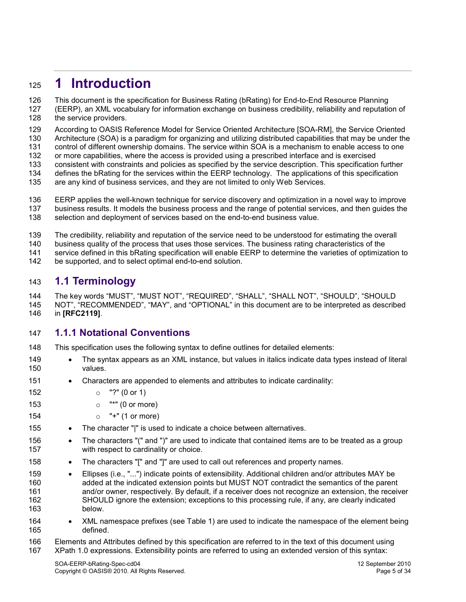# <sup>125</sup>**1 Introduction**

126 This document is the specification for Business Rating (bRating) for End-to-End Resource Planning

127 (EERP), an XML vocabulary for information exchange on business credibility, reliability and reputation of 128 the service providers.

129 According to OASIS Reference Model for Service Oriented Architecture [SOA-RM], the Service Oriented 130 Architecture (SOA) is a paradigm for organizing and utilizing distributed capabilities that may be under the 131 control of different ownership domains. The service within SOA is a mechanism to enable access to one

- 132 or more capabilities, where the access is provided using a prescribed interface and is exercised
- 133 consistent with constraints and policies as specified by the service description. This specification further
- 134 defines the bRating for the services within the EERP technology. The applications of this specification
- 135 are any kind of business services, and they are not limited to only Web Services.
- 136 EERP applies the well-known technique for service discovery and optimization in a novel way to improve 137 business results. It models the business process and the range of potential services, and then guides the
- 138 selection and deployment of services based on the end-to-end business value.
- 139 The credibility, reliability and reputation of the service need to be understood for estimating the overall
- 140 business quality of the process that uses those services. The business rating characteristics of the
- 141 service defined in this bRating specification will enable EERP to determine the varieties of optimization to
- 142 be supported, and to select optimal end-to-end solution.

### 143 **1.1 Terminology**

144 The key words "MUST", "MUST NOT", "REQUIRED", "SHALL", "SHALL NOT", "SHOULD", "SHOULD 145 NOT", "RECOMMENDED", "MAY", and "OPTIONAL" in this document are to be interpreted as described 146 in **[RFC2119]**.

### 147 **1.1.1 Notational Conventions**

- 148 This specification uses the following syntax to define outlines for detailed elements:
- 149 The syntax appears as an XML instance, but values in italics indicate data types instead of literal 150 values.
- 151 Characters are appended to elements and attributes to indicate cardinality:
- 152 o "?" (0 or 1)
- 153 o "\*" (0 or more)
- 154 o "+" (1 or more)
- 155 The character "|" is used to indicate a choice between alternatives.
- 156 The characters "(" and ")" are used to indicate that contained items are to be treated as a group 157 with respect to cardinality or choice.
- 158 The characters "[" and "]" are used to call out references and property names.
- 159 Ellipses (i.e., "...") indicate points of extensibility. Additional children and/or attributes MAY be 160 added at the indicated extension points but MUST NOT contradict the semantics of the parent 161 and/or owner, respectively. By default, if a receiver does not recognize an extension, the receiver 162 SHOULD ignore the extension; exceptions to this processing rule, if any, are clearly indicated 163 below.
- 164 XML namespace prefixes (see Table 1) are used to indicate the namespace of the element being 165 defined.
- 166 Elements and Attributes defined by this specification are referred to in the text of this document using 167 XPath 1.0 expressions. Extensibility points are referred to using an extended version of this syntax: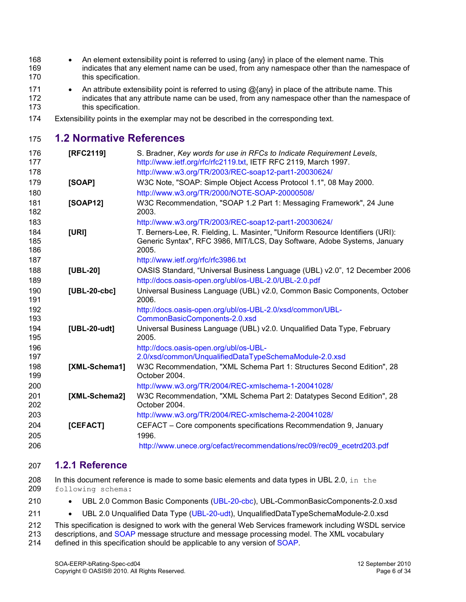- <sup>168</sup> An element extensibility point is referred to using {any} in place of the element name. This<br>169 **•** indicates that any element name can be used, from any namespace other than the names indicates that any element name can be used, from any namespace other than the namespace of 170 this specification.
- 171 An attribute extensibility point is referred to using @{any} in place of the attribute name. This 172 indicates that any attribute name can be used, from any namespace other than the namespace of 173 this specification.
- 174 Extensibility points in the exemplar may not be described in the corresponding text.

### 175 **1.2 Normative References**

| 176<br>177        | [RFC2119]     | S. Bradner, Key words for use in RFCs to Indicate Requirement Levels,<br>http://www.ietf.org/rfc/rfc2119.txt, IETF RFC 2119, March 1997.                            |
|-------------------|---------------|---------------------------------------------------------------------------------------------------------------------------------------------------------------------|
| 178               |               | http://www.w3.org/TR/2003/REC-soap12-part1-20030624/                                                                                                                |
| 179               | [SOAP]        | W3C Note, "SOAP: Simple Object Access Protocol 1.1", 08 May 2000.                                                                                                   |
| 180               |               | http://www.w3.org/TR/2000/NOTE-SOAP-20000508/                                                                                                                       |
| 181<br>182        | [SOAP12]      | W3C Recommendation, "SOAP 1.2 Part 1: Messaging Framework", 24 June<br>2003.                                                                                        |
| 183               |               | http://www.w3.org/TR/2003/REC-soap12-part1-20030624/                                                                                                                |
| 184<br>185<br>186 | [URI]         | T. Berners-Lee, R. Fielding, L. Masinter, "Uniform Resource Identifiers (URI):<br>Generic Syntax", RFC 3986, MIT/LCS, Day Software, Adobe Systems, January<br>2005. |
| 187               |               | http://www.ietf.org/rfc/rfc3986.txt                                                                                                                                 |
| 188               | [UBL-20]      | OASIS Standard, "Universal Business Language (UBL) v2.0", 12 December 2006                                                                                          |
| 189               |               | http://docs.oasis-open.org/ubl/os-UBL-2.0/UBL-2.0.pdf                                                                                                               |
| 190<br>191        | [UBL-20-cbc]  | Universal Business Language (UBL) v2.0, Common Basic Components, October<br>2006.                                                                                   |
| 192<br>193        |               | http://docs.oasis-open.org/ubl/os-UBL-2.0/xsd/common/UBL-<br>CommonBasicComponents-2.0.xsd                                                                          |
| 194<br>195        | [UBL-20-udt]  | Universal Business Language (UBL) v2.0. Unqualified Data Type, February<br>2005.                                                                                    |
| 196<br>197        |               | http://docs.oasis-open.org/ubl/os-UBL-<br>2.0/xsd/common/UnqualifiedDataTypeSchemaModule-2.0.xsd                                                                    |
| 198<br>199        | [XML-Schema1] | W3C Recommendation, "XML Schema Part 1: Structures Second Edition", 28<br>October 2004.                                                                             |
| 200               |               | http://www.w3.org/TR/2004/REC-xmlschema-1-20041028/                                                                                                                 |
| 201<br>202        | [XML-Schema2] | W3C Recommendation, "XML Schema Part 2: Datatypes Second Edition", 28<br>October 2004.                                                                              |
| 203               |               | http://www.w3.org/TR/2004/REC-xmlschema-2-20041028/                                                                                                                 |
| 204               | [CEFACT]      | CEFACT - Core components specifications Recommendation 9, January                                                                                                   |
| 205               |               | 1996.                                                                                                                                                               |
| 206               |               | http://www.unece.org/cefact/recommendations/rec09/rec09 ecetrd203.pdf                                                                                               |

### 207 **1.2.1 Reference**

- 208 In this document reference is made to some basic elements and data types in UBL 2.0, in the  $209$  following schema: following schema:
- 210 UBL 2.0 Common Basic Components (UBL-20-cbc), UBL-CommonBasicComponents-2.0.xsd
- 211 UBL 2.0 Unqualified Data Type (UBL-20-udt), UnqualifiedDataTypeSchemaModule-2.0.xsd
- 212 This specification is designed to work with the general Web Services framework including WSDL service
- 213 descriptions, and SOAP message structure and message processing model. The XML vocabulary 214 defined in this specification should be applicable to any version of SOAP.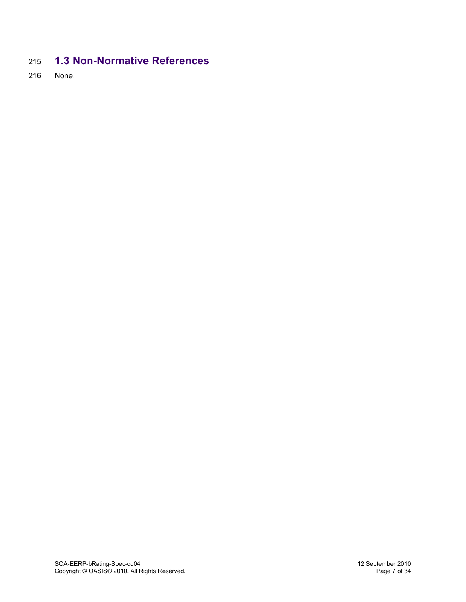### 215 **1.3 Non-Normative References**

216 None.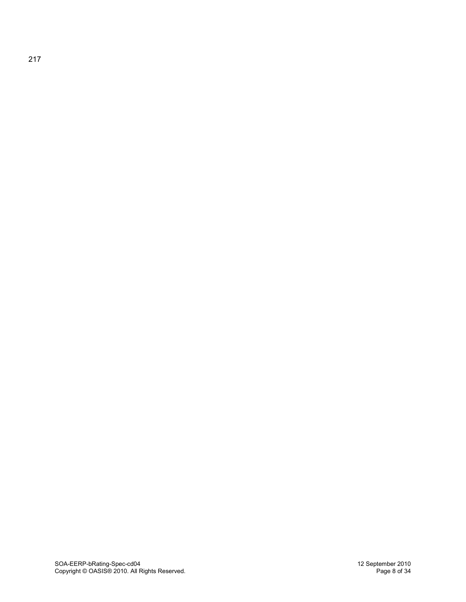217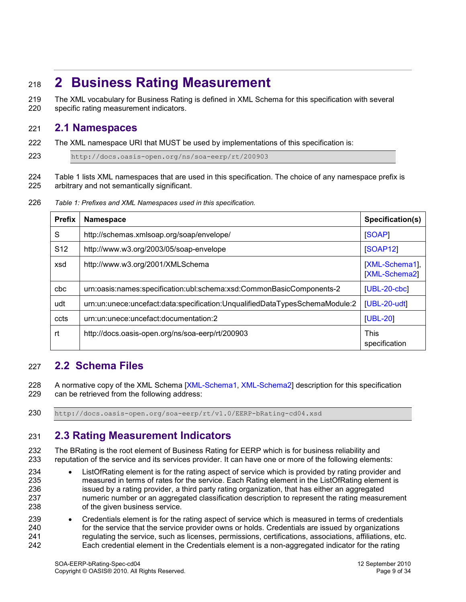# <sup>218</sup>**2 Business Rating Measurement**

219 The XML vocabulary for Business Rating is defined in XML Schema for this specification with several 220 specific rating measurement indicators.

### 221 **2.1 Namespaces**

222 The XML namespace URI that MUST be used by implementations of this specification is:

223 http://docs.oasis-open.org/ns/soa-eerp/rt/200903

- 224 Table 1 lists XML namespaces that are used in this specification. The choice of any namespace prefix is 225 arbitrary and not semantically significant. arbitrary and not semantically significant.
- 226 *Table 1: Prefixes and XML Namespaces used in this specification.*

| <b>Prefix</b>   | <b>Namespace</b>                                                            | Specification(s)                |
|-----------------|-----------------------------------------------------------------------------|---------------------------------|
| S               | http://schemas.xmlsoap.org/soap/envelope/                                   | <b>ISOAPI</b>                   |
| S <sub>12</sub> | http://www.w3.org/2003/05/soap-envelope                                     | <b>SOAP12</b>                   |
| xsd             | http://www.w3.org/2001/XMLSchema                                            | [XML-Schema1],<br>[XML-Schema2] |
| cbc             | urn:oasis:names:specification:ubl:schema:xsd:CommonBasicComponents-2        | $ UBL-20$ -cbc $ $              |
| udt             | urn:un:unece:uncefact:data:specification:UnqualifiedDataTypesSchemaModule:2 | [UBL-20-udt]                    |
| ccts            | urn:un:unece:uncefact:documentation:2                                       | $[UBL-20]$                      |
| rt              | http://docs.oasis-open.org/ns/soa-eerp/rt/200903                            | <b>This</b><br>specification    |

### 227 **2.2 Schema Files**

- 228 A normative copy of the XML Schema [XML-Schema1, XML-Schema2] description for this specification 229 can be retrieved from the following address:
- 230 http://docs.oasis-open.org/soa-eerp/rt/v1.0/EERP-bRating-cd04.xsd

### 231 **2.3 Rating Measurement Indicators**

- 232 The BRating is the root element of Business Rating for EERP which is for business reliability and 233 reputation of the service and its services provider. It can have one or more of the following elements:
- <sup>234</sup> ListOfRating element is for the rating aspect of service which is provided by rating provider and<br><sup>235</sup> measured in terms of rates for the service. Each Rating element in the ListOfRating element is 235 measured in terms of rates for the service. Each Rating element in the ListOfRating element is 236 issued by a rating provider, a third party rating organization, that has either an aggregated 237 numeric number or an aggregated classification description to represent the rating measurement 238 of the given business service.
- 239 Credentials element is for the rating aspect of service which is measured in terms of credentials 240 for the service that the service provider owns or holds. Credentials are issued by organizations 241 regulating the service, such as licenses, permissions, certifications, associations, affiliations, etc. 242 Each credential element in the Credentials element is a non-aggregated indicator for the rating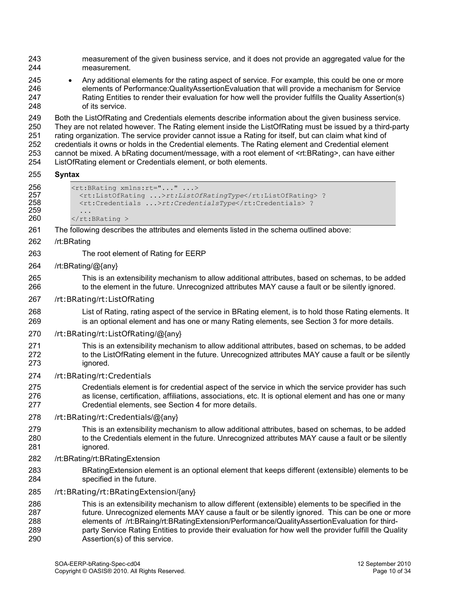243 measurement of the given business service, and it does not provide an aggregated value for the 244 measurement.

<sup>245</sup> • Any additional elements for the rating aspect of service. For example, this could be one or more 246<br><sup>246</sup> elements of Performance:QualityAssertionEvaluation that will provide a mechanism for Service elements of Performance:QualityAssertionEvaluation that will provide a mechanism for Service 247 Rating Entities to render their evaluation for how well the provider fulfills the Quality Assertion(s) 248 of its service.

249 Both the ListOfRating and Credentials elements describe information about the given business service. 250 They are not related however. The Rating element inside the ListOfRating must be issued by a third-party 251 rating organization. The service provider cannot issue a Rating for itself, but can claim what kind of 252 credentials it owns or holds in the Credential elements. The Rating element and Credential element 253 cannot be mixed. A bRating document/message, with a root element of <rt:BRating>, can have either

254 ListOfRating element or Credentials element, or both elements.

#### 255 **Syntax**

```
256 <tt:BRating xmlns:rt="..." ...><br>257 <tt:ListOfRating ...>rt:ListO
257 <tt:ListOfRating ...>rt:ListOfRatingType</rt:ListOfRating> ?<br>258 <tt:Credentials ...>rt:CredentialsType</rt:Credentials> ?
                   258 <rt:Credentials ...>rt:CredentialsType</rt:Credentials> ?
```
- $259$  ...<br>260 </rt:  $\langle$  /rt: BRating >
- 261 The following describes the attributes and elements listed in the schema outlined above:
- 262 /rt:BRating
- 263 The root element of Rating for EERP

#### 264 /rt:BRating/@{any}

265 This is an extensibility mechanism to allow additional attributes, based on schemas, to be added 266 to the element in the future. Unrecognized attributes MAY cause a fault or be silently ignored.

#### 267 /rt:BRating/rt:ListOfRating

268 List of Rating, rating aspect of the service in BRating element, is to hold those Rating elements. It 269 is an optional element and has one or many Rating elements, see Section 3 for more details.

#### 270 /rt:BRating/rt:ListOfRating/@{any}

- 271 This is an extensibility mechanism to allow additional attributes, based on schemas, to be added 272 to the ListOfRating element in the future. Unrecognized attributes MAY cause a fault or be silently 273 ignored.
- 274 /rt:BRating/rt:Credentials
- 275 Credentials element is for credential aspect of the service in which the service provider has such 276 as license, certification, affiliations, associations, etc. It is optional element and has one or many 277 Credential elements, see Section 4 for more details.

#### 278 /rt:BRating/rt:Credentials/@{any}

- 279 This is an extensibility mechanism to allow additional attributes, based on schemas, to be added 280 to the Credentials element in the future. Unrecognized attributes MAY cause a fault or be silently 281 ignored.
- 282 /rt:BRating/rt:BRatingExtension
- 283 BRatingExtension element is an optional element that keeps different (extensible) elements to be 284 specified in the future.
- 285 /rt:BRating/rt:BRatingExtension/{any}

286 This is an extensibility mechanism to allow different (extensible) elements to be specified in the 287 future. Unrecognized elements MAY cause a fault or be silently ignored. This can be one or more 288 elements of /rt:BRaing/rt:BRatingExtension/Performance/QualityAssertionEvaluation for third-289 party Service Rating Entities to provide their evaluation for how well the provider fulfill the Quality<br>290 **Assertion(s)** of this service.  $\overline{A}$ ssertion(s) of this service.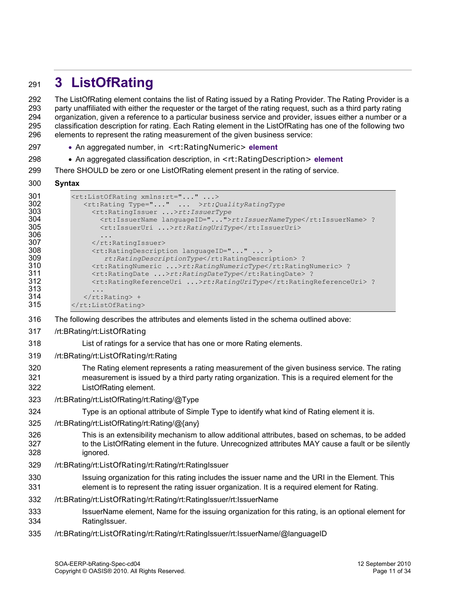# <sup>291</sup>**3 ListOfRating**

292 The ListOfRating element contains the list of Rating issued by a Rating Provider. The Rating Provider is a 293 party unaffiliated with either the requester or the target of the rating request, such as a third party rating 294 organization, given a reference to a particular business service and provider, issues either a number or a 295 classification description for rating. Each Rating element in the ListOfRating has one of the following two 296 elements to represent the rating measurement of the given business service:

- 297 An aggregated number, in <rt:RatingNumeric> **element**
- 298 An aggregated classification description, in <rt:RatingDescription> **element**
- 299 There SHOULD be zero or one ListOfRating element present in the rating of service.

#### 300 **Syntax**

```
301 <tt:ListOfRating xmlns:rt="..." ...><br>302 <tt:Rating Type="..." ... >rt:Q
302 <tt:Rating Type="..." ... >rt:QualityRatingType 303 <tt:RatingIssuer ...>rt:IssuerType
303 Critinating Type- ... ... 21t:Qual<br>303 <rt:RatingIssuer ...>rt:IssuerType<br>304 <rt:IssuerName languageID="...">
304 <tt:IssuerName languageID="...">rt:IssuerNameType</rt:IssuerName> ?<br>305 <tt:IssuerUri ...>rt:RatingUriType</rt:IssuerUri>
                          305 <rt:IssuerUri ...>rt:RatingUriType</rt:IssuerUri> 
306 ...<br>307 ...
307 </rt:RatingIssuer><br>308 <rt:RatingDescript
308 \langlert:RatingDescription languageID="..." ... > 309
309 rt:RatingDescriptionType</rt:RatingDescription> ?<br>310 <rt:RatingNumeric ...>rt:RatingNumericType</rt:Ratin
310 < tt:RatingNumeric ...>rt:RatingNumericType</rt:RatingNumeric> ?<br>311 < tt:RatingDate ...>rt:RatingDateType</rt:RatingDate> ?
311 < tt:RatingDate ...>rt:RatingDateType</rt:RatingDate> ?<br>312 < tt:RatingReferenceUri ...>rt:RatingUriType</rt:Rating>
                       312 <rt:RatingReferenceUri ...>rt:RatingUriType</rt:RatingReferenceUri> ? 
313<br>314
314 \checkmark/rt:Rating> +<br>315 \checkmark/rt:ListOfRating
                315 </rt:ListOfRating>
```
- 316 The following describes the attributes and elements listed in the schema outlined above:
- 317 /rt:BRating/rt:ListOfRating
- 318 List of ratings for a service that has one or more Rating elements.
- 319 /rt:BRating/rt:ListOfRating/rt:Rating
- 320 The Rating element represents a rating measurement of the given business service. The rating 321 measurement is issued by a third party rating organization. This is a required element for the 322 ListOfRating element.
- 323 /rt:BRating/rt:ListOfRating/rt:Rating/@Type
- 324 Type is an optional attribute of Simple Type to identify what kind of Rating element it is.
- 325 /rt:BRating/rt:ListOfRating/rt:Rating/@{any}
- 326 This is an extensibility mechanism to allow additional attributes, based on schemas, to be added 327 to the ListOfRating element in the future. Unrecognized attributes MAY cause a fault or be silently 328 ignored.
- 329 /rt:BRating/rt:ListOfRating/rt:Rating/rt:RatingIssuer
- 330 Issuing organization for this rating includes the issuer name and the URI in the Element. This 331 element is to represent the rating issuer organization. It is a required element for Rating.
- 332 /rt:BRating/rt:ListOfRating/rt:Rating/rt:RatingIssuer/rt:IssuerName
- 333 IssuerName element, Name for the issuing organization for this rating, is an optional element for 334 RatingIssuer.
- 335 /rt:BRating/rt:ListOfRating/rt:Rating/rt:RatingIssuer/rt:IssuerName/@languageID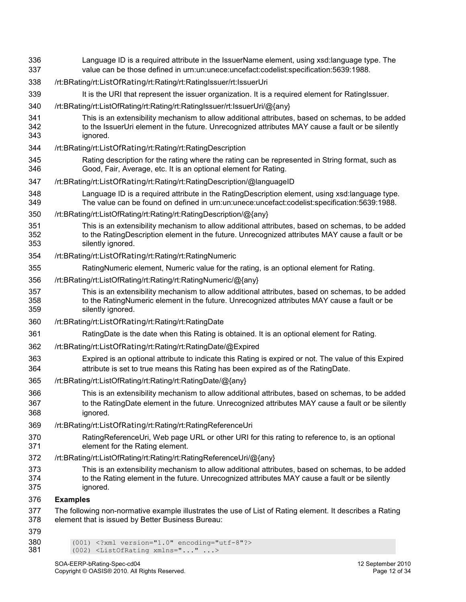336 Language ID is a required attribute in the IssuerName element, using xsd:language type. The 337 value can be those defined in urn:un:unece:uncefact:codelist:specification:5639:1988. 338 /rt:BRating/rt:ListOfRating/rt:Rating/rt:RatingIssuer/rt:IssuerUri 339 It is the URI that represent the issuer organization. It is a required element for RatingIssuer. 340 /rt:BRating/rt:ListOfRating/rt:Rating/rt:RatingIssuer/rt:IssuerUri/@{any} 341 This is an extensibility mechanism to allow additional attributes, based on schemas, to be added 342 to the IssuerUri element in the future. Unrecognized attributes MAY cause a fault or be silently<br>343 ignored. ignored. 344 /rt:BRating/rt:ListOfRating/rt:Rating/rt:RatingDescription 345 Rating description for the rating where the rating can be represented in String format, such as 346 Good, Fair, Average, etc. It is an optional element for Rating. 347 /rt:BRating/rt:ListOfRating/rt:Rating/rt:RatingDescription/@languageID 348 Language ID is a required attribute in the RatingDescription element, using xsd:language type. 349 The value can be found on defined in urn:un:unece:uncefact:codelist:specification:5639:1988. 350 /rt:BRating/rt:ListOfRating/rt:Rating/rt:RatingDescription/@{any} 351 This is an extensibility mechanism to allow additional attributes, based on schemas, to be added 352 to the RatingDescription element in the future. Unrecognized attributes MAY cause a fault or be 353 silently ignored. 354 /rt:BRating/rt:ListOfRating/rt:Rating/rt:RatingNumeric 355 RatingNumeric element, Numeric value for the rating, is an optional element for Rating. 356 /rt:BRating/rt:ListOfRating/rt:Rating/rt:RatingNumeric/@{any} 357 This is an extensibility mechanism to allow additional attributes, based on schemas, to be added 358 to the RatingNumeric element in the future. Unrecognized attributes MAY cause a fault or be 359 silently ignored. 360 /rt:BRating/rt:ListOfRating/rt:Rating/rt:RatingDate 361 RatingDate is the date when this Rating is obtained. It is an optional element for Rating. 362 /rt:BRating/rt:ListOfRating/rt:Rating/rt:RatingDate/@Expired 363 Expired is an optional attribute to indicate this Rating is expired or not. The value of this Expired 364 attribute is set to true means this Rating has been expired as of the RatingDate. 365 /rt:BRating/rt:ListOfRating/rt:Rating/rt:RatingDate/@{any} 366 This is an extensibility mechanism to allow additional attributes, based on schemas, to be added 367 to the RatingDate element in the future. Unrecognized attributes MAY cause a fault or be silently 368 ignored. 369 /rt:BRating/rt:ListOfRating/rt:Rating/rt:RatingReferenceUri 370 RatingReferenceUri, Web page URL or other URI for this rating to reference to, is an optional 371 element for the Rating element. 372 /rt:BRating/rt:ListOfRating/rt:Rating/rt:RatingReferenceUri/@{any} 373 This is an extensibility mechanism to allow additional attributes, based on schemas, to be added 374 to the Rating element in the future. Unrecognized attributes MAY cause a fault or be silently 375 ignored. 376 **Examples**  377 The following non-normative example illustrates the use of List of Rating element. It describes a Rating 378 element that is issued by Better Business Bureau: 379 380 (001) <?xml version="1.0" encoding="utf-8"?><br>381 (002) <ListOfRating xmlns="..." ...> 381 (002) <ListOfRating xmlns="..." ...>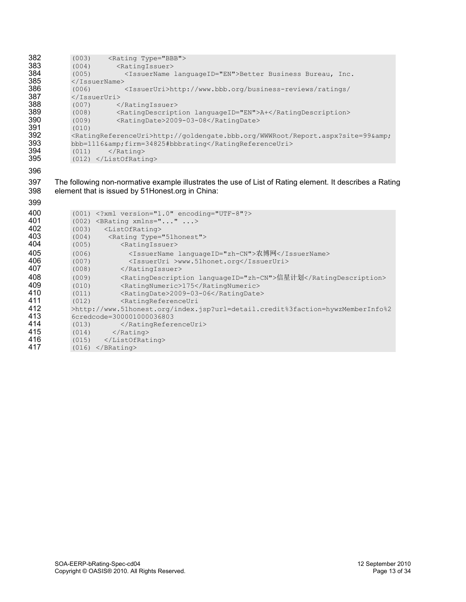| 382 | (003)                  | <rating type="BBB"></rating>                                                                        |
|-----|------------------------|-----------------------------------------------------------------------------------------------------|
| 383 | (004)                  | <ratingissuer></ratingissuer>                                                                       |
| 384 | (005)                  | <issuername languageid="EN">Better Business Bureau, Inc.</issuername>                               |
| 385 | $\langle$ /IssuerName> |                                                                                                     |
| 386 | (006)                  | <issueruri>http://www.bbb.org/business-reviews/ratings/</issueruri>                                 |
| 387 | $\langle$ /IssuerUri>  |                                                                                                     |
| 388 | (007)                  | $\langle$ /RatingIssuer>                                                                            |
| 389 | (008)                  | <ratingdescription languageid="EN">A+</ratingdescription>                                           |
| 390 | (009)                  | <ratingdate>2009-03-08</ratingdate>                                                                 |
| 391 | (010)                  |                                                                                                     |
| 392 |                        | <ratingreferenceuri>http://goldengate.bbb.org/WWWRoot/Report.aspx?site=99&amp;</ratingreferenceuri> |
| 393 |                        | bbb=1116&firm=34825#bbbrating                                                                       |
| 394 | (011)                  | $\langle$ /Rating>                                                                                  |
| 395 |                        | $(012)$                                                                                             |
| 396 |                        |                                                                                                     |
|     |                        |                                                                                                     |

397 The following non-normative example illustrates the use of List of Rating element. It describes a Rating 398 element that is issued by 51Honest.org in China:

| 399 |                                                                                |
|-----|--------------------------------------------------------------------------------|
| 400 | xml version="1.0" encoding="UTF-8"?<br>(001)                                   |
| 401 | $\langle$ BRating xmlns="" ><br>(002)                                          |
| 402 | (003)<br><listofrating></listofrating>                                         |
| 403 | <rating type="51honest"><br/>(004)</rating>                                    |
| 404 | (005)<br><ratingissuer></ratingissuer>                                         |
| 405 | <issuername languageid="zh-CN">农博网</issuername><br>(006)                       |
| 406 | <issueruri>www.51honet.org</issueruri><br>(007)                                |
| 407 | (008)<br>$\langle$ Rating Issuer>                                              |
| 408 | <ratingdescription languageid="zh-CN">信星计划</ratingdescription><br>(009)        |
| 409 | <ratingnumeric>175</ratingnumeric><br>(010)                                    |
| 410 | <ratingdate>2009-03-06</ratingdate><br>(011)                                   |
| 411 | (012)<br><ratingreferenceuri< th=""></ratingreferenceuri<>                     |
| 412 | >http://www.51honest.org/index.jsp?url=detail.credit%3faction=hywzMemberInfo%2 |
| 413 | 6credcode=300001000036803                                                      |
| 414 | <br>(013)                                                                      |
| 415 | $\langle$ /Rating><br>(014)                                                    |
| 416 | $(015)$ $\langle$ /ListOfRating>                                               |
| 417 | $(016)$                                                                        |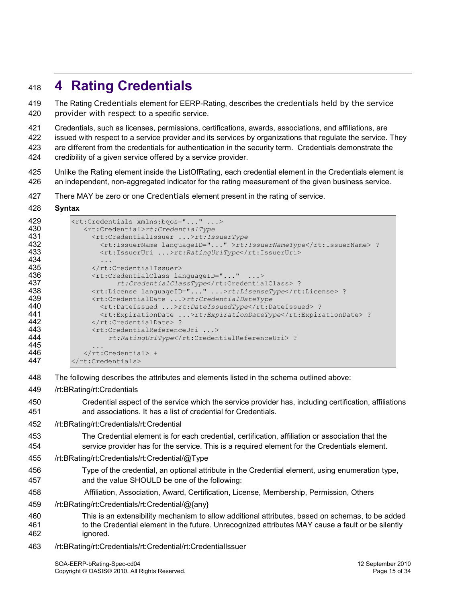# <sup>418</sup>**4 Rating Credentials**

419 The Rating Credentials element for EERP-Rating, describes the credentials held by the service 420 provider with respect to a specific service.

421 Credentials, such as licenses, permissions, certifications, awards, associations, and affiliations, are 422 issued with respect to a service provider and its services by organizations that regulate the service. They 423 are different from the credentials for authentication in the security term. Credentials demonstrate the 424 credibility of a given service offered by a service provider.

- 425 Unlike the Rating element inside the ListOfRating, each credential element in the Credentials element is 426 an independent, non-aggregated indicator for the rating measurement of the given business service.
- 427 There MAY be zero or one Credentials element present in the rating of service.
- 428 **Syntax**

| 429 | <rt:credentials xmlns:bgos=""></rt:credentials>                  |
|-----|------------------------------------------------------------------|
| 430 | <rt:credential>rt:CredentialType</rt:credential>                 |
| 431 | <rt:credentialissuer>rt:IssuerType</rt:credentialissuer>         |
| 432 | <rt:issuername languageid="">rt:IssuerNameType</rt:issuername> ? |
| 433 | <rt:issueruri>rt:RatingUriType</rt:issueruri>                    |
| 434 |                                                                  |
| 435 |                                                                  |
| 436 | <rt:credentialclass languageid=""></rt:credentialclass>          |
| 437 | rt:CredentialClassType ?                                         |
| 438 | <tt:license languageid="">rt:LisenseType ?</tt:license>          |
| 439 | <rt:credentialdate>rt:CredentialDateType</rt:credentialdate>     |
| 440 | <rt:dateissued>rt:DateIssuedType</rt:dateissued> ?               |
| 441 | <tt:expirationdate>rt:ExpirationDateType ?</tt:expirationdate>   |
| 442 | $\langle$ /rt:CredentialDate> ?                                  |
| 443 | <rt:credentialreferenceuri></rt:credentialreferenceuri>          |
| 444 | rt:RatingUriType ?                                               |
| 445 |                                                                  |
| 446 | $\langle$ /rt:Credential> +                                      |
| 447 |                                                                  |
|     |                                                                  |

- 448 The following describes the attributes and elements listed in the schema outlined above:
- 449 /rt:BRating/rt:Credentials
- 450 Credential aspect of the service which the service provider has, including certification, affiliations 451 and associations. It has a list of credential for Credentials.
- 452 /rt:BRating/rt:Credentials/rt:Credential
- 453 The Credential element is for each credential, certification, affiliation or association that the 454 service provider has for the service. This is a required element for the Credentials element.
- 455 /rt:BRating/rt:Credentials/rt:Credential/@Type
- 456 Type of the credential, an optional attribute in the Credential element, using enumeration type, 457 and the value SHOULD be one of the following:
- 458 Affiliation, Association, Award, Certification, License, Membership, Permission, Others
- 459 /rt:BRating/rt:Credentials/rt:Credential/@{any}
- 460 This is an extensibility mechanism to allow additional attributes, based on schemas, to be added 461 to the Credential element in the future. Unrecognized attributes MAY cause a fault or be silently 462 ignored.
- 463 /rt:BRating/rt:Credentials/rt:Credential/rt:CredentialIssuer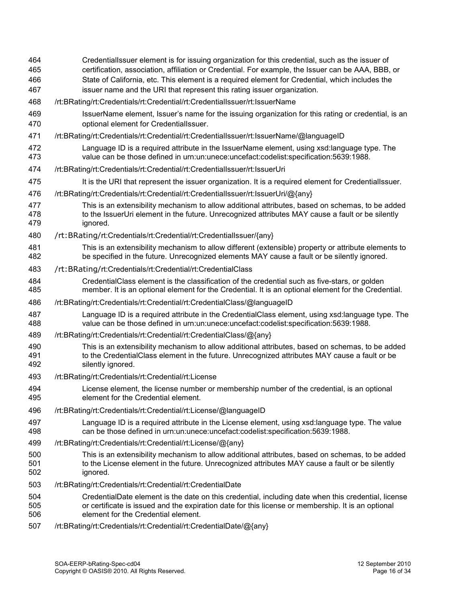| 464<br>465<br>466<br>467 | Credentiallssuer element is for issuing organization for this credential, such as the issuer of<br>certification, association, affiliation or Credential. For example, the Issuer can be AAA, BBB, or<br>State of California, etc. This element is a required element for Credential, which includes the<br>issuer name and the URI that represent this rating issuer organization. |
|--------------------------|-------------------------------------------------------------------------------------------------------------------------------------------------------------------------------------------------------------------------------------------------------------------------------------------------------------------------------------------------------------------------------------|
| 468                      | /rt:BRating/rt:Credentials/rt:Credential/rt:CredentialIssuer/rt:IssuerName                                                                                                                                                                                                                                                                                                          |
| 469<br>470               | IssuerName element, Issuer's name for the issuing organization for this rating or credential, is an<br>optional element for CredentialIssuer.                                                                                                                                                                                                                                       |
| 471                      | /rt:BRating/rt:Credentials/rt:Credential/rt:CredentialIssuer/rt:IssuerName/@languageID                                                                                                                                                                                                                                                                                              |
| 472<br>473               | Language ID is a required attribute in the IssuerName element, using xsd:language type. The<br>value can be those defined in urn:un:unece:uncefact:codelist:specification:5639:1988.                                                                                                                                                                                                |
| 474                      | /rt:BRating/rt:Credentials/rt:Credential/rt:Credentiallssuer/rt:IssuerUri                                                                                                                                                                                                                                                                                                           |
| 475                      | It is the URI that represent the issuer organization. It is a required element for CredentialIssuer.                                                                                                                                                                                                                                                                                |
| 476                      | /rt:BRating/rt:Credentials/rt:Credential/rt:Credentiallssuer/rt:IssuerUri/@{any}                                                                                                                                                                                                                                                                                                    |
| 477<br>478<br>479        | This is an extensibility mechanism to allow additional attributes, based on schemas, to be added<br>to the IssuerUri element in the future. Unrecognized attributes MAY cause a fault or be silently<br>ignored.                                                                                                                                                                    |
| 480                      | /rt:BRating/rt:Credentials/rt:Credential/rt:CredentialIssuer/{any}                                                                                                                                                                                                                                                                                                                  |
| 481<br>482               | This is an extensibility mechanism to allow different (extensible) property or attribute elements to<br>be specified in the future. Unrecognized elements MAY cause a fault or be silently ignored.                                                                                                                                                                                 |
| 483                      | /rt:BRating/rt:Credentials/rt:Credential/rt:CredentialClass                                                                                                                                                                                                                                                                                                                         |
| 484<br>485               | CredentialClass element is the classification of the credential such as five-stars, or golden<br>member. It is an optional element for the Credential. It is an optional element for the Credential.                                                                                                                                                                                |
| 486                      | /rt:BRating/rt:Credentials/rt:Credential/rt:CredentialClass/@languageID                                                                                                                                                                                                                                                                                                             |
| 487<br>488               | Language ID is a required attribute in the CredentialClass element, using xsd:language type. The<br>value can be those defined in urn:un:unece:uncefact:codelist:specification:5639:1988.                                                                                                                                                                                           |
| 489                      | /rt:BRating/rt:Credentials/rt:Credential/rt:CredentialClass/@{any}                                                                                                                                                                                                                                                                                                                  |
| 490<br>491<br>492        | This is an extensibility mechanism to allow additional attributes, based on schemas, to be added<br>to the CredentialClass element in the future. Unrecognized attributes MAY cause a fault or be<br>silently ignored.                                                                                                                                                              |
| 493                      | /rt:BRating/rt:Credentials/rt:Credential/rt:License                                                                                                                                                                                                                                                                                                                                 |
| 494<br>495               | License element, the license number or membership number of the credential, is an optional<br>element for the Credential element.                                                                                                                                                                                                                                                   |
| 496                      | /rt:BRating/rt:Credentials/rt:Credential/rt:License/@languageID                                                                                                                                                                                                                                                                                                                     |
| 497<br>498               | Language ID is a required attribute in the License element, using xsd:language type. The value<br>can be those defined in urn:un:unece:uncefact:codelist:specification:5639:1988.                                                                                                                                                                                                   |
| 499                      | /rt:BRating/rt:Credentials/rt:Credential/rt:License/@{any}                                                                                                                                                                                                                                                                                                                          |
| 500<br>501<br>502        | This is an extensibility mechanism to allow additional attributes, based on schemas, to be added<br>to the License element in the future. Unrecognized attributes MAY cause a fault or be silently<br>ignored.                                                                                                                                                                      |
| 503                      | /rt:BRating/rt:Credentials/rt:Credential/rt:CredentialDate                                                                                                                                                                                                                                                                                                                          |
| 504<br>505<br>506        | CredentialDate element is the date on this credential, including date when this credential, license<br>or certificate is issued and the expiration date for this license or membership. It is an optional<br>element for the Credential element.                                                                                                                                    |
| 507                      | /rt:BRating/rt:Credentials/rt:Credential/rt:CredentialDate/@{any}                                                                                                                                                                                                                                                                                                                   |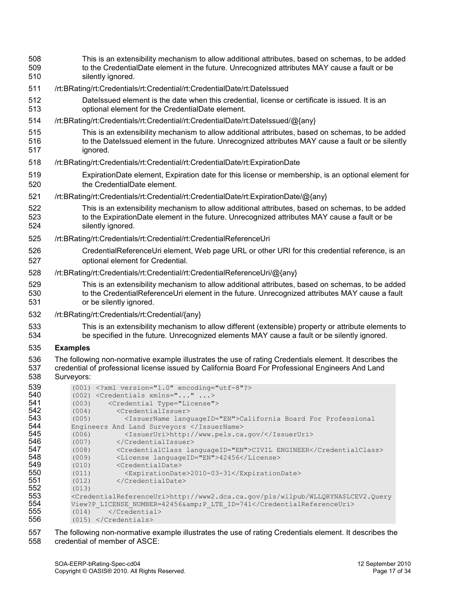- 508 This is an extensibility mechanism to allow additional attributes, based on schemas, to be added 509 to the CredentialDate element in the future. Unrecognized attributes MAY cause a fault or be 510 silently ignored. 511 /rt:BRating/rt:Credentials/rt:Credential/rt:CredentialDate/rt:DateIssued 512 DateIssued element is the date when this credential, license or certificate is issued. It is an 513 optional element for the CredentialDate element. 514 /rt:BRating/rt:Credentials/rt:Credential/rt:CredentialDate/rt:DateIssued/@{any} 515 This is an extensibility mechanism to allow additional attributes, based on schemas, to be added 516 to the DateIssued element in the future. Unrecognized attributes MAY cause a fault or be silently 517 ignored. 518 /rt:BRating/rt:Credentials/rt:Credential/rt:CredentialDate/rt:ExpirationDate 519 ExpirationDate element, Expiration date for this license or membership, is an optional element for 520 the CredentialDate element. 521 /rt:BRating/rt:Credentials/rt:Credential/rt:CredentialDate/rt:ExpirationDate/@{any} 522 This is an extensibility mechanism to allow additional attributes, based on schemas, to be added 523 to the ExpirationDate element in the future. Unrecognized attributes MAY cause a fault or be 524 silently ignored. 525 /rt:BRating/rt:Credentials/rt:Credential/rt:CredentialReferenceUri 526 CredentialReferenceUri element, Web page URL or other URI for this credential reference, is an 527 optional element for Credential. 528 /rt:BRating/rt:Credentials/rt:Credential/rt:CredentialReferenceUri/@{any} 529 This is an extensibility mechanism to allow additional attributes, based on schemas, to be added 530 to the CredentialReferenceUri element in the future. Unrecognized attributes MAY cause a fault 531 or be silently ignored. 532 /rt:BRating/rt:Credentials/rt:Credential/{any} 533 This is an extensibility mechanism to allow different (extensible) property or attribute elements to 534 be specified in the future. Unrecognized elements MAY cause a fault or be silently ignored. 535 **Examples**  536 The following non-normative example illustrates the use of rating Credentials element. It describes the 537 credential of professional license issued by California Board For Professional Engineers And Land credential of professional license issued by California Board For Professional Engineers And Land 538 Surveyors: 539 (001) <?xml version="1.0" encoding="utf-8"?><br>540 (002) <Credentials xmlns="..." ...> 540 (002) <Credentials xmlns="..." ...><br>541 (003) <Credential Type="License" 541 (003) <Credential Type="License"><br>542 (004) <CredentialIssuer> 542 (004) <CredentialIssuer><br>543 (005) <IssuerName lang 543 (005) <IssuerName languageID="EN">California Board For Professional 544 Engineers And Land Surveyors </IssuerName> 544 Engineers And Land Surveyors </IssuerName><br>545 (006) <IssuerUri>http://www.pels.ca 545 (006) <IssuerUri>http://www.pels.ca.gov/</IssuerUri><br>546 (007) </CredentialIssuer> 546 (007) </CredentialIssuer><br>547 (008) <CredentialClass la 547 (008) <CredentialClass languageID="EN">CIVIL ENGINEER</CredentialClass><br>548 (009) <License languageID="EN">42456</License> 548 (009) <License languageID="EN">42456</License><br>549 (010) <CredentialDate> 549 (010) <CredentialDate><br>550 (011) <ExpirationDat 550 (011) <ExpirationDate>2010-03-31</ExpirationDate><br>551 (012) </CredentialDate> 551 (012) </CredentialDate><br>552 (013)  $552$  (013)<br>553 <cred 553 <CredentialReferenceUri>http://www2.dca.ca.gov/pls/wllpub/WLLQRYNA\$LCEV2.Query<br>554 View?P LICENSE NUMBER=42456&amp;P LTE ID=741</CredentialReferenceUri> 554 View?P\_LICENSE\_NUMBER=42456& P\_LTE\_ID=741</CredentialReferenceUri><br>555 (014) </Credential> 555 (014) </Credential><br>556 (015) </Credentials> (015) </Credentials>
- 557 The following non-normative example illustrates the use of rating Credentials element. It describes the 558 credential of member of ASCE: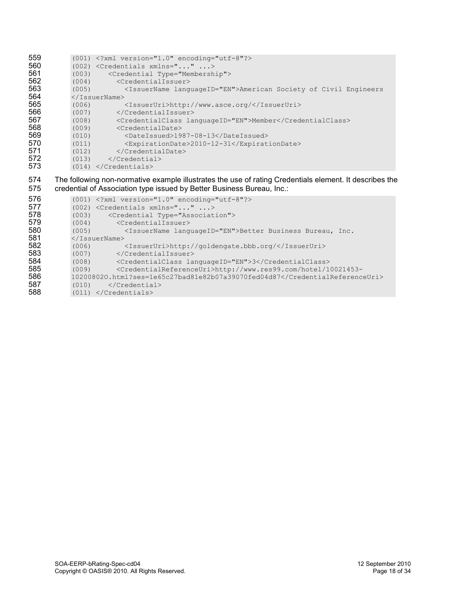| 559 |       | $(001)$ xml version="1.0" encoding="utf-8"?                                  |
|-----|-------|------------------------------------------------------------------------------|
| 560 |       | $(002)$ <credentials xmlns=""></credentials>                                 |
| 561 | (003) | <credential type="Membership"></credential>                                  |
| 562 | (004) | <credentialissuer></credentialissuer>                                        |
| 563 | (005) | <issuername languageid="EN">American Society of Civil Engineers</issuername> |
| 564 |       | $\langle$ /IssuerName>                                                       |
| 565 | (006) | <issueruri>http://www.asce.org/</issueruri>                                  |
| 566 | (007) |                                                                              |
| 567 | (008) | <credentialclass languageid="EN">Member</credentialclass>                    |
| 568 | (009) | <credentialdate></credentialdate>                                            |
| 569 | (010) | <dateissued>1987-08-13</dateissued>                                          |
| 570 | (011) | <expirationdate>2010-12-31</expirationdate>                                  |
| 571 | (012) |                                                                              |
| 572 | (013) |                                                                              |
| 573 |       | $(014)$                                                                      |
|     |       |                                                                              |

#### 574 The following non-normative example illustrates the use of rating Credentials element. It describes the 575 credential of Association type issued by Better Business Bureau, Inc.:

| 576 | $(001)$ xml version="1.0" encoding="utf-8"?                                                     |
|-----|-------------------------------------------------------------------------------------------------|
| 577 | $(002)$ <credentials xmlns=""></credentials>                                                    |
| 578 | <credential type="Association"><br/>(003)</credential>                                          |
| 579 | <credentialissuer><br/>(004)</credentialissuer>                                                 |
| 580 | (005)<br><issuername languageid="EN">Better Business Bureau, Inc.</issuername>                  |
| 581 | $\langle$ /IssuerName>                                                                          |
| 582 | <issueruri>http://goldengate.bbb.org/</issueruri><br>(006)                                      |
| 583 | <br>(007)                                                                                       |
| 584 | <credentialclass languageid="EN">3</credentialclass><br>(008)                                   |
| 585 | <credentialreferenceuri>http://www.res99.com/hotel/10021453-<br/>(009)</credentialreferenceuri> |
| 586 | 102008020.html?ses=1e65c27bad81e82b07a39070fed04d87                                             |
| 587 | <br>(010)                                                                                       |
| 588 | $(011)$                                                                                         |
|     |                                                                                                 |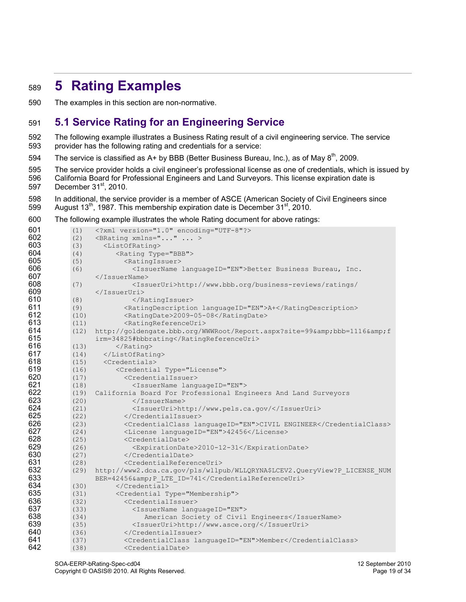### <sup>589</sup>**5 Rating Examples**

590 The examples in this section are non-normative.

### 591 **5.1 Service Rating for an Engineering Service**

- 592 The following example illustrates a Business Rating result of a civil engineering service. The service 593 provider has the following rating and credentials for a service:
- 594 The service is classified as  $A+$  by BBB (Better Business Bureau, Inc.), as of May  $8<sup>th</sup>$ , 2009.
- 595 The service provider holds a civil engineer's professional license as one of credentials, which is issued by<br>596 California Board for Professional Engineers and Land Survevors. This license expiration date is California Board for Professional Engineers and Land Surveyors. This license expiration date is 597 December  $31<sup>st</sup>$ , 2010.
- 598 In additional, the service provider is a member of ASCE (American Society of Civil Engineers since 599 August  $13^{th}$ , 1987. This membership expiration date is December  $31^{st}$ , 2010.
- 600 The following example illustrates the whole Rating document for above ratings:

| 601 | (1)  | xml version="1.0" encoding="UTF-8"?                                       |
|-----|------|---------------------------------------------------------------------------|
| 602 | (2)  | <brating xmlns=""></brating>                                              |
| 603 | (3)  | <listofrating></listofrating>                                             |
| 604 | (4)  | <rating type="BBB"></rating>                                              |
| 605 | (5)  | <ratingissuer></ratingissuer>                                             |
| 606 | (6)  | <issuername languageid="EN">Better Business Bureau, Inc.</issuername>     |
| 607 |      |                                                                           |
| 608 | (7)  | <issueruri>http://www.bbb.org/business-reviews/ratings/</issueruri>       |
| 609 |      |                                                                           |
| 610 | (8)  |                                                                           |
| 611 | (9)  | <ratingdescription languageid="EN">A+</ratingdescription>                 |
| 612 | (10) | <ratingdate>2009-05-08</ratingdate>                                       |
| 613 | (11) | <ratingreferenceuri></ratingreferenceuri>                                 |
| 614 | (12) | http://goldengate.bbb.org/WWWRoot/Report.aspx?site=99&bbb=1116&f          |
| 615 |      | irm=34825#bbbrating                                                       |
| 616 | (13) |                                                                           |
| 617 | (14) |                                                                           |
| 618 | (15) | <credentials></credentials>                                               |
| 619 | (16) | <credential type="License"></credential>                                  |
| 620 | (17) | <credentialissuer></credentialissuer>                                     |
| 621 | (18) | <issuername languageid="EN"></issuername>                                 |
| 622 | (19) | California Board For Professional Engineers And Land Surveyors            |
| 623 | (20) | $\langle$ /IssuerName>                                                    |
| 624 | (21) | <issueruri>http://www.pels.ca.gov/</issueruri>                            |
| 625 | (22) |                                                                           |
| 626 | (23) | <credentialclass languageid="EN">CIVIL ENGINEER</credentialclass>         |
| 627 | (24) | <license languageid="EN">42456</license>                                  |
| 628 | (25) | <credentialdate></credentialdate>                                         |
| 629 | (26) | <expirationdate>2010-12-31</expirationdate>                               |
| 630 | (27) |                                                                           |
| 631 | (28) | <credentialreferenceuri></credentialreferenceuri>                         |
| 632 | (29) | http://www2.dca.ca.gov/pls/wllpub/WLLQRYNA\$LCEV2.QueryView?P LICENSE NUM |
| 633 |      | BER=42456& P LTE ID=741                                                   |
| 634 | (30) |                                                                           |
| 635 | (31) | <credential type="Membership"></credential>                               |
| 636 | (32) | <credentialissuer></credentialissuer>                                     |
| 637 | (33) | <issuername languageid="EN"></issuername>                                 |
| 638 | (34) | American Society of Civil Engineers                                       |
| 639 | (35) | <issueruri>http://www.asce.org/</issueruri>                               |
| 640 | (36) |                                                                           |
| 641 | (37) | <credentialclass languageid="EN">Member</credentialclass>                 |
| 642 | (38) | <credentialdate></credentialdate>                                         |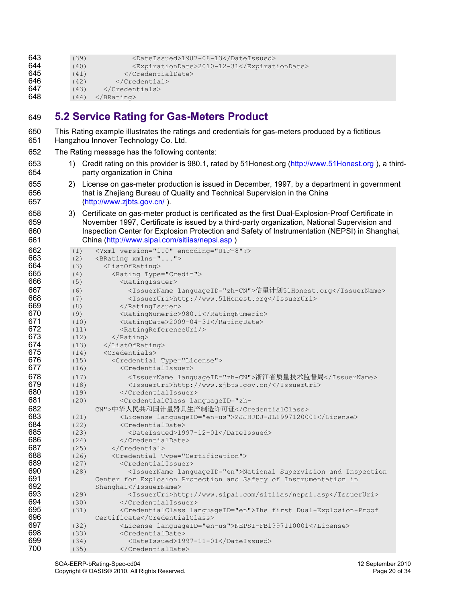643 (39) <DateIssued>1987-08-13</DateIssued>644 (40) <ExpirationDate>2010-12-31</Expiration

```
644 (40) \langleExpirationDate>2010-12-31</ExpirationDate><br>645 (41) \langle/CredentialDate>
```

```
645 (41) \langle/CredentialDate><br>646 (42) \langle/Credential>
```

```
646 (42) \checkmarkCredential><br>647 (43) \checkmark/Credentials>
```

```
647 (43) \langle/Credentials><br>648 (44) \langleBRating>
                (44) </BRating>
```
### **5.2 Service Rating for Gas-Meters Product**

#### 650 This Rating example illustrates the ratings and credentials for gas-meters produced by a fictitious 651 Hangzhou Innover Technology Co. Ltd.

652 The Rating message has the following contents:

- 653 1) Credit rating on this provider is 980.1, rated by 51Honest.org (http://www.51Honest.org ), a third-654 party organization in China
- 655 2) License on gas-meter production is issued in December, 1997, by a department in government 656 that is Zhejiang Bureau of Quality and Technical Supervision in the China 657 (http://www.zjbts.gov.cn/ ).
- 658 3) Certificate on gas-meter product is certificated as the first Dual-Explosion-Proof Certificate in 659 November 1997, Certificate is issued by a third-party organization, National Supervision and 660 Inspection Center for Explosion Protection and Safety of Instrumentation (NEPSI) in Shanghai,<br>661 China (http://www.sipai.com/sitijas/nepsi.asp) China (http://www.sipai.com/sitiias/nepsi.asp)

| 662 | (1)  | xml version="1.0" encoding="UTF-8"?                                                                                                                             |
|-----|------|-----------------------------------------------------------------------------------------------------------------------------------------------------------------|
| 663 | (2)  | <brating xmlns=""></brating>                                                                                                                                    |
| 664 | (3)  | <listofrating></listofrating>                                                                                                                                   |
| 665 | (4)  | <rating type="Credit"></rating>                                                                                                                                 |
| 666 | (5)  | <ratingissuer></ratingissuer>                                                                                                                                   |
| 667 | (6)  | <issuername languageid="zh-CN">信星计划51Honest.org</issuername>                                                                                                    |
| 668 | (7)  | <issueruri>http://www.51Honest.org</issueruri>                                                                                                                  |
| 669 | (8)  |                                                                                                                                                                 |
| 670 | (9)  | <ratingnumeric>980.1</ratingnumeric>                                                                                                                            |
| 671 | (10) | <ratingdate>2009-04-31</ratingdate>                                                                                                                             |
| 672 | (11) | $<$ RatingReferenceUri/>                                                                                                                                        |
| 673 | (12) | $\langle$ /Rating>                                                                                                                                              |
| 674 | (13) |                                                                                                                                                                 |
| 675 | (14) | <credentials></credentials>                                                                                                                                     |
| 676 | (15) | <credential type="License"></credential>                                                                                                                        |
| 677 | (16) | <credentialissuer></credentialissuer>                                                                                                                           |
| 678 | (17) | <issuername languageid="zh-CN">浙江省质量技术监督局</issuername>                                                                                                          |
| 679 | (18) | <issueruri>http://www.zjbts.gov.cn/</issueruri>                                                                                                                 |
| 680 | (19) |                                                                                                                                                                 |
| 681 | (20) | <credentialclass languageid="zh-&lt;/th&gt;&lt;/tr&gt;&lt;tr&gt;&lt;th&gt;682&lt;/th&gt;&lt;th&gt;&lt;/th&gt;&lt;th&gt;CN">中华人民共和国计量器具生产制造许可证</credentialclass> |
| 683 | (21) | <license languageid="en-us">ZJJHJDJ-JL1997120001</license>                                                                                                      |
| 684 | (22) | <credentialdate></credentialdate>                                                                                                                               |
| 685 | (23) | <dateissued>1997-12-01</dateissued>                                                                                                                             |
| 686 | (24) |                                                                                                                                                                 |
| 687 | (25) | $\langle$ /Credential>                                                                                                                                          |
| 688 | (26) | <credential type="Certification"></credential>                                                                                                                  |
| 689 | (27) | <credentialissuer></credentialissuer>                                                                                                                           |
| 690 | (28) | <issuername languageid="en">National Supervision and Inspection</issuername>                                                                                    |
| 691 |      | Center for Explosion Protection and Safety of Instrumentation in                                                                                                |
| 692 |      | Shanghai                                                                                                                                                        |
| 693 | (29) | <issueruri>http://www.sipai.com/sitiias/nepsi.asp</issueruri>                                                                                                   |
| 694 | (30) |                                                                                                                                                                 |
| 695 | (31) | <credentialclass languageid="en">The first Dual-Explosion-Proof</credentialclass>                                                                               |
| 696 |      | Certificate                                                                                                                                                     |
| 697 | (32) | <license languageid="en-us">NEPSI-FB1997110001</license>                                                                                                        |
| 698 | (33) | <credentialdate></credentialdate>                                                                                                                               |
| 699 | (34) | <dateissued>1997-11-01</dateissued>                                                                                                                             |
| 700 | (35) |                                                                                                                                                                 |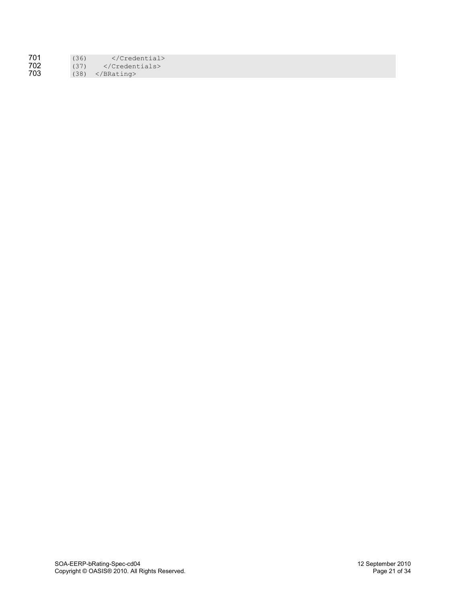| 701 | (36) |                            |
|-----|------|----------------------------|
| 702 | (37) |                            |
| 703 |      | $(38)$ $\langle$ /BRating> |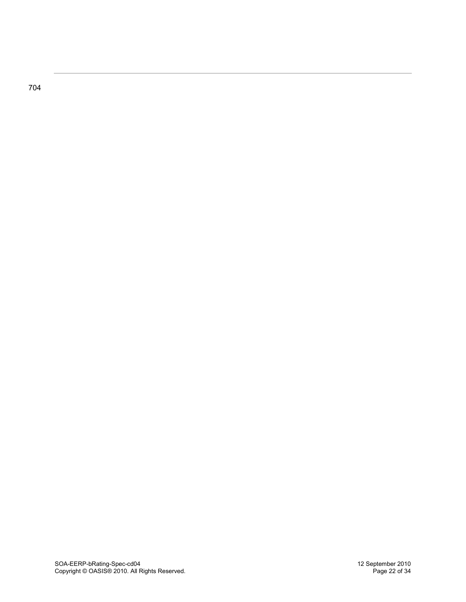704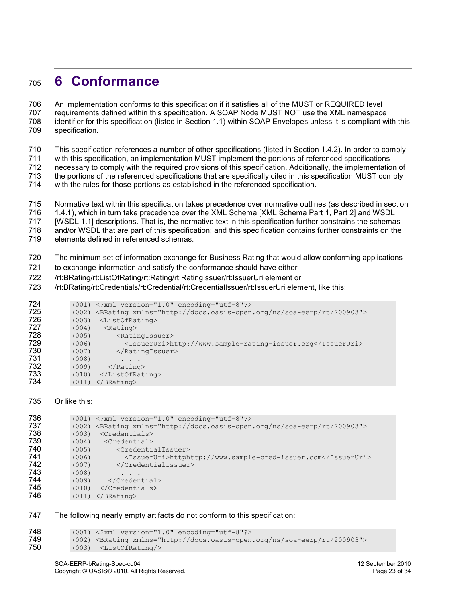### <sup>705</sup>**6 Conformance**

706 An implementation conforms to this specification if it satisfies all of the MUST or REQUIRED level<br>707 requirements defined within this specification. A SOAP Node MUST NOT use the XML namespace

requirements defined within this specification. A SOAP Node MUST NOT use the XML namespace 708 identifier for this specification (listed in Section 1.1) within SOAP Envelopes unless it is compliant with this 709 specification.

- 710 This specification references a number of other specifications (listed in Section 1.4.2). In order to comply
- 711 with this specification, an implementation MUST implement the portions of referenced specifications
- 712 necessary to comply with the required provisions of this specification. Additionally, the implementation of<br>713 the portions of the referenced specifications that are specifically cited in this specification MUST compl
- the portions of the referenced specifications that are specifically cited in this specification MUST comply
- 714 with the rules for those portions as established in the referenced specification.
- 715 Normative text within this specification takes precedence over normative outlines (as described in section
- 716 1.4.1), which in turn take precedence over the XML Schema [XML Schema Part 1, Part 2] and WSDL
- 717 [WSDL 1.1] descriptions. That is, the normative text in this specification further constrains the schemas

718 and/or WSDL that are part of this specification; and this specification contains further constraints on the

- 719 elements defined in referenced schemas.
- 720 The minimum set of information exchange for Business Rating that would allow conforming applications
- 721 to exchange information and satisfy the conformance should have either
- 722 /rt:BRating/rt:ListOfRating/rt:Rating/rt:RatingIssuer/rt:IssuerUri element or
- 723 /rt:BRating/rt:Credentials/rt:Credential/rt:CredentialIssuer/rt:IssuerUri element, like this:

| 724 |       | (001) xml version="1.0" encoding="utf-8"?                                          |
|-----|-------|------------------------------------------------------------------------------------|
| 725 |       | (002) <brating xmlns="http://docs.oasis-open.org/ns/soa-eerp/rt/200903"></brating> |
| 726 | (003) | <listofrating></listofrating>                                                      |
| 727 | (004) | $<$ Rating $>$                                                                     |
| 728 | (005) | <ratingissuer></ratingissuer>                                                      |
| 729 | (006) | <issueruri>http://www.sample-rating-issuer.org</issueruri>                         |
| 730 | (007) | $\langle$ /Rating Issuer>                                                          |
| 731 | (008) | $\cdot$ $\cdot$ $\cdot$                                                            |
| 732 | (009) | $\langle$ /Rating>                                                                 |
| 733 | (010) |                                                                                    |
| 734 |       | $(011)$                                                                            |
|     |       |                                                                                    |

#### 735 Or like this:

| 736 |       | (001) xml version="1.0" encoding="utf-8"?                                          |
|-----|-------|------------------------------------------------------------------------------------|
| 737 |       | (002) <brating xmlns="http://docs.oasis-open.org/ns/soa-eerp/rt/200903"></brating> |
| 738 | (003) | <credentials></credentials>                                                        |
| 739 | (004) | <credential></credential>                                                          |
| 740 | (005) | <credentialissuer></credentialissuer>                                              |
| 741 | (006) | <issueruri>httphttp://www.sample-cred-issuer.com</issueruri>                       |
| 742 | (007) |                                                                                    |
| 743 | (008) | $\cdot$ $\cdot$ $\cdot$                                                            |
| 744 | (009) | $\langle$ /Credential>                                                             |
| 745 | (010) |                                                                                    |
| 746 |       | $(011)$                                                                            |
|     |       |                                                                                    |

#### 747 The following nearly empty artifacts do not conform to this specification:

| 748 | $(001)$ xml version="1.0" encoding="utf-8"?                                          |
|-----|--------------------------------------------------------------------------------------|
| 749 | $(002)$ <brating xmlns="http://docs.oasis-open.org/ns/soa-eerp/rt/200903"></brating> |
| 750 | $(003)$ $\leq$ ListOfRating/>                                                        |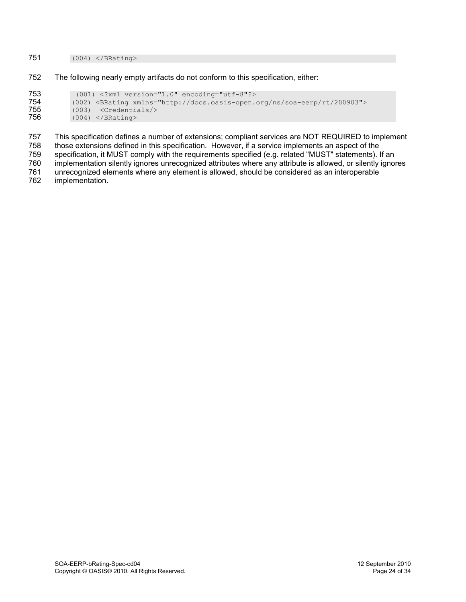- 751 (004) </BRating>
- 752 The following nearly empty artifacts do not conform to this specification, either:

| 753 |  |  |  | $(001)$ xml version="1.0" encoding="utf-8"? |  |
|-----|--|--|--|---------------------------------------------|--|
|-----|--|--|--|---------------------------------------------|--|

- 754 (002) <BRating xmlns="http://docs.oasis-open.org/ns/soa-eerp/rt/200903"><br>755 (003) <Credentials/><br>756 (004) </BRating>
- (003) <Credentials/>
- $(004)$  </BRating>

757 This specification defines a number of extensions; compliant services are NOT REQUIRED to implement 758 those extensions defined in this specification. However, if a service implements an aspect of the 759 specification, it MUST comply with the requirements specified (e.g. related "MUST" statements). If an 760 implementation silently ignores unrecognized attributes where any attribute is allowed, or silently ignores 760 implementation silently ignores unrecognized attributes where any attribute is allowed, or silently ignores<br>761 unrecognized elements where any element is allowed, should be considered as an interoperable unrecognized elements where any element is allowed, should be considered as an interoperable

762 implementation.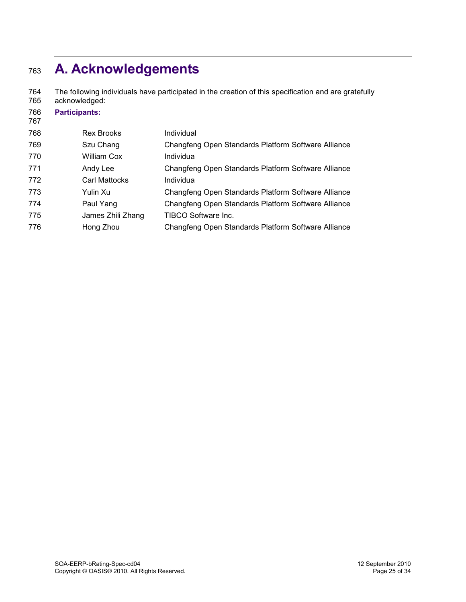# <sup>763</sup>**A. Acknowledgements**

764 The following individuals have participated in the creation of this specification and are gratefully 765 acknowledged:

#### **Participants:** 766<br>767

| 768 | <b>Rex Brooks</b>    | Individual                                          |
|-----|----------------------|-----------------------------------------------------|
| 769 | Szu Chang            | Changfeng Open Standards Platform Software Alliance |
| 770 | <b>William Cox</b>   | Individua                                           |
| 771 | Andy Lee             | Changfeng Open Standards Platform Software Alliance |
| 772 | <b>Carl Mattocks</b> | Individua                                           |
| 773 | Yulin Xu             | Changfeng Open Standards Platform Software Alliance |
| 774 | Paul Yang            | Changfeng Open Standards Platform Software Alliance |
| 775 | James Zhili Zhang    | TIBCO Software Inc.                                 |
| 776 | Hong Zhou            | Changfeng Open Standards Platform Software Alliance |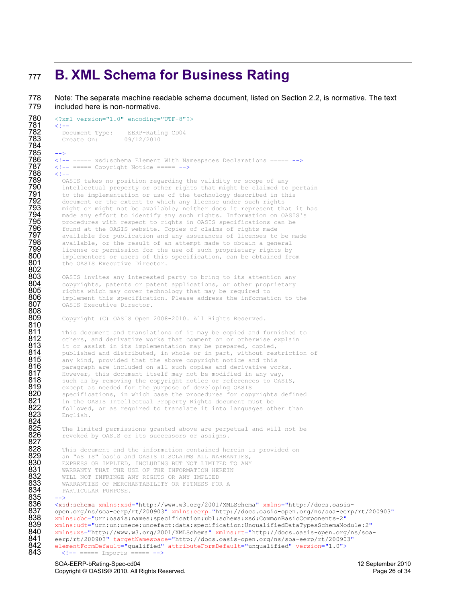### <sup>777</sup>**B. XML Schema for Business Rating**

778 Note: The separate machine readable schema document, listed on Section 2.2, is normative. The text 779 included here is non-normative.

```
780 \leq?xml version="1.0" encoding="UTF-8"?>
781 <!--<br>782 Document Type:
                                         EERP-Rating CD04
              Create On: 09/12/2010
\frac{783}{784}785 --><br>786 <!-<br>787 <!-<br>788 <!-<br>798
           786 <!-- ===== xsd:schema Element With Namespaces Declarations ===== --> 
           787 <!-- ===== Copyright Notice ===== --> 
788 <!--<br>789 OAS
789 OASIS takes no position regarding the validity or scope of any<br>
790 intellectual property or other rights that might be claimed to<br>
791 to the implementation or use of the technology described in th.<br>
792 document or t
              intellectual property or other rights that might be claimed to pertain
              to the implementation or use of the technology described in this
              document or the extent to which any license under such rights
793 might or might not be available; neither does it represent that it has 794 made any effort to identify any such rights. Information on OASIS's
794 made any effort to identify any such rights. Information on OASIS's<br>795 procedures with respect to rights in OASIS specifications can be<br>796 found at the OASIS website. Copies of claims of rights made<br>797 available for
              procedures with respect to rights in OASIS specifications can be
               found at the OASIS website. Copies of claims of rights made
797 available for publication and any assurances of licenses to be made<br>798 available, or the result of an attempt made to obtain a general
798 available, or the result of an attempt made to obtain a general<br>799 license or permission for the use of such proprietary rights by<br>800 implementors or users of this specification, can be obtained fr
              license or permission for the use of such proprietary rights by
800 implementors or users of this specification, can be obtained from<br>801 the OASIS Executive Director.
              the OASIS Executive Director.
802 
803 OASIS invites any interested party to bring to its attention any 804 copyrights, patents or patent applications, or other proprietary
804 copyrights, patents or patent applications, or other proprietary<br>805 rights which may cover technology that may be required to
805 rights which may cover technology that may be required to 1 implement this specification. Please address the informat:<br>807 OASIS Executive Director.
              implement this specification. Please address the information to the
              OASIS Executive Director.
808 
              Copyright (C) OASIS Open 2008-2010. All Rights Reserved.
810<br>811
811 This document and translations of it may be copied and furnished to<br>812 Others, and derivative works that comment on or otherwise explain
812 others, and derivative works that comment on or otherwise explain<br>813 it or assist in its implementation may be prepared, copied,<br>814 published and distributed, in whole or in part, without restriction
              it or assist in its implementation may be prepared, copied,
814 published and distributed, in whole or in part, without restriction of 815 any kind, provided that the above copyright notice and this
815 any kind, provided that the above copyright notice and this<br>816 baragraph are included on all such copies and derivative wo:
816 paragraph are included on all such copies and derivative works.<br>817 However, this document itself may not be modified in any way,
817 However, this document itself may not be modified in any way, 818 such as by removing the copyright notice or references to OAS
818 such as by removing the copyright notice or references to OASIS,<br>819 except as needed for the purpose of developing OASIS
819 except as needed for the purpose of developing OASIS<br>820 specifications, in which case the procedures for cop
              specifications, in which case the procedures for copyrights defined
               in the OASIS Intellectual Property Rights document must be
              followed, or as required to translate it into languages other than
              English.
821<br>822<br>823<br>825<br>826
              The limited permissions granted above are perpetual and will not be
              revoked by OASIS or its successors or assigns.
827<br>828<br>829
              This document and the information contained herein is provided on
829 an "AS IS" basis and OASIS DISCLAIMS ALL WARRANTIES, 830 EXPRESS OR IMPLIED, INCLUDING BUT NOT LIMITED TO ANY
830 EXPRESS OR IMPLIED, INCLUDING BUT NOT LIMITED TO ANY 831 WARRANTY THAT THE USE OF THE INFORMATION HEREIN
831 WARRANTY THAT THE USE OF THE INFORMATION HEREIN<br>832 WILL NOT INFRINGE ANY RIGHTS OR ANY IMPLIED
832 MILL NOT INFRINGE ANY RIGHTS OR ANY IMPLIED<br>833 MARRANTIES OF MERCHANTABILITY OR FITNESS FO<br>834 PARTICULAR PURPOSE.
              WARRANTIES OF MERCHANTABILITY OR FITNESS FOR A
              PARTICULAR PURPOSE.
835 --><br>836 <xs<br>837 ope
           836 <xsd:schema xmlns:xsd="http://www.w3.org/2001/XMLSchema" xmlns="http://docs.oasis-
837 open.org/ns/soa-eerp/rt/200903" xmlns:eerp="http://docs.oasis-open.org/ns/soa-eerp/rt/200903"<br>838 mlns:cbc="urn:oasis:names:specification:ubl:schema:xsd:CommonBasicComponents-2"
838 xmlns:cbc="urn:oasis:names:specification:ubl:schema:xsd:CommonBasicComponents-2"
839 xmlns:udt="urn:un:unece:uncefact:data:specification:UnqualifiedDataTypesSchemaModule:2"<br>840 xmlns:xs="http://www.w3.org/2001/XMLSchema" xmlns:rt="http://docs.oasis-open.org/ns/soa
840 xmlns:xs="http://www.w3.org/2001/XMLSchema" xmlns:rt="http://docs.oasis-open.org/ns/soa-<br>841 eerp/rt/200903" targetNamespace="http://docs.oasis-open.org/ns/soa-eerp/rt/200903"
841 eerp/rt/200903" targetNamespace="http://docs.oasis-open.org/ns/soa-eerp/rt/200903"
           842 elementFormDefault="qualified" attributeFormDefault="unqualified" version="1.0"> 
              \leq!-- ==== Imports =
```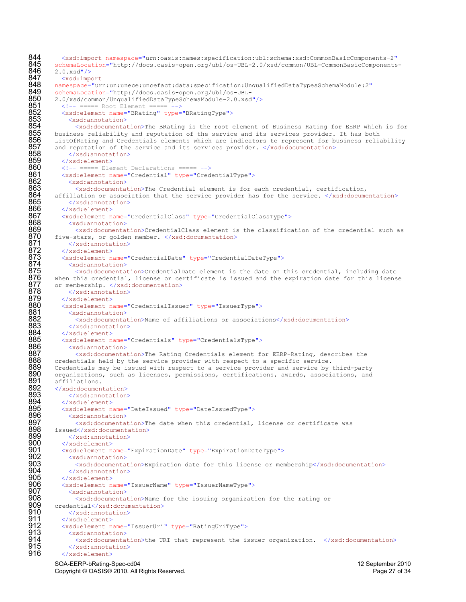844 <xsd:import namespace="urn:oasis:names:specification:ubl:schema:xsd:CommonBasicComponents-2"<br>845 schemaLocation="http://docs.oasis-open.org/ubl/os-UBL-2.0/xsd/common/UBL-CommonBasicComponents 845 schemaLocation="http://docs.oasis-open.org/ubl/os-UBL-2.0/xsd/common/UBL-CommonBasicComponents-<br>846 2.0.xsd"/><br>847 <xsd:import  $2.0.xsd"$ /> 847 <xsd:import<br>848 namespace="ur 848 namespace="urn:un:unece:uncefact:data:specification:UnqualifiedDataTypesSchemaModule:2"<br>849 schemaLocation="http://docs.oasis-open.org/ubl/os-UBL-849 schemaLocation="http://docs.oasis-open.org/ubl/os-UBL-<br>850 2.0/xsd/common/UnqualifiedDataTypeSchemaModule-2.0.xsd 850 2.0/xsd/common/UnqualifiedDataTypeSchemaModule-2.0.xsd"/><br>851 <!-- ===== Root Element ===== --><br>852 <xsd:element name="BRating" type="BRatingType"><br>853 <xsd:annotation> <!-- ===== Root Element ===== --> 852 <xsd:element name="BRating" type="BRatingType"> 853 <xsd:annotation><br>854 <xsd:documenta 854 <xsd:documentation>The BRating is the root element of Business Rating for EERP which is for<br>855 business reliability and reputation of the service and its services provider. It has both 855 business reliability and reputation of the service and its services provider. It has both 856 ListOfRating and Credentials elements which are indicators to represent for business relige 857 and reputation of the servic ListOfRating and Credentials elements which are indicators to represent for business reliability 857 and reputation of the service and its services provider.  $\langle x \rangle$  /xsd:documentation><br>858  $\langle x \rangle$  /xsd:annotation>  $858$   $\leq$ /xsd:annotation><br>859  $\leq$ /xsd:element> 859 </xsd:element><br>860 <!-- ===== Ele 860 <!-- ===== Element Declarations ===== --><br>861 <xsd:element name="Credential" type="Cred 861 <xsd:element name="Credential" type="CredentialType"><br>862 <xsd:annotation> 862 <xsd:annotation><br>863 <xsd:documenta  $863$  <xsd:documentation>The Credential element is for each credential, certification,<br> $864$  affiliation or association that the service provider has for the service. </xsd:docume 864 affiliation or association that the service provider has for the service.  $\langle x\hat{z}\rangle$  -  $\langle x\hat{z}\rangle$  annotation  $\rangle$ 865 </xsd:annotation><br>866 </xsd:element><br>867 <xsd:element name=" 866 </xsd:element> 867 <xsd:element name="CredentialClass" type="CredentialClassType"><br>868 <xsd:annotation> 868 <xsd:annotation><br>869 <xsd:documenta<br>870 five-stars, or golde 869 <xsd:documentation>CredentialClass element is the classification of the credential such as 870 five-stars, or golden member.  $\langle x \rangle$  /xsd:documentation> 871 </xsd:annotation><br>872 </xsd:element> 872 </xsd:element><br>873 <xsd:element n<br>874 <xsd:annotat: 873 <xsd:element name="CredentialDate" type="CredentialDateType"> 874 <xsd:annotation><br>875 <xsd:documenta 875  $\leq$   $\times$ sd:documentation>CredentialDate element is the date on this credential, including date<br>876 when this credential, license or certificate is issued and the expiration date for this licens 876 when this credential, license or certificate is issued and the expiration date for this license 877 or membership.  $\langle x \rangle$ sd:documentation> 877 or membership. </xsd:documentation><br>878 </xsd:annotation> 878  $\langle x \rangle$  /xsd:annotation><br>879  $\langle x \rangle$ sd:element> 879 </xsd:element><br>880 <xsd:element na 880 <xsd:element name="CredentialIssuer" type="IssuerType"><br>881 <xsd:annotation> 881 <xsd:annotation><br>882 <xsd:documenta 882  $\leq x$ sd:documentation>Name of affiliations or associations $\leq x$ sd:documentation><br>883  $\leq x$ sd:annotation> 883  $\langle x \rangle$  /xsd:annotation><br>884  $\langle x \rangle$ sd:element> 884 </xsd:element><br>885 <xsd:element n 885 <xsd:element name="Credentials" type="CredentialsType"><br>886 <xsd:annotation> 886 <xsd:annotation><br>887 <xsd:documenta 887  $\leq$   $\times$  sd:documentation>The Rating Credentials element for EERP-Rating, describes the 888 credentials held by the service provider with respect to a specific service. 888 credentials held by the service provider with respect to a specific service.<br>889 Credentials may be issued with respect to a service provider and service by 889 Credentials may be issued with respect to a service provider and service by third-party<br>890 Organizations, such as licenses, permissions, certifications, awards, associations, and 890 organizations, such as licenses, permissions, certifications, awards, associations, and<br>891 affiliations. 891 affiliations.<br>892 </xsd:documen 892  $\langle x \rangle$  /xsd:documentation><br>893  $\langle x \rangle$  /xsd:annotation 893  $\langle x \rangle$  /xsd:annotation><br>894  $\langle x \rangle$ sd:element> 894 </xsd:element><br>895 <xsd:element n 895  $\langle x \text{sd:element name} = "DateIssued" \text{type} = "DateIssuedType" \rangle$ <br>896  $\langle x \text{sd:annotation} \rangle$ 896 <xsd:annotation><br>897 <xsd:documenta 897  $\leq$ xsd:documentation>The date when this credential, license or certificate was<br>898 issued</xsd:documentation> 898 issued</xsd:documentation><br>899 </xsd:annotation> 899  $\langle x \rangle$  /xsd:annotation><br>900  $\langle x \rangle$  /xsd:element> 900 </xsd:element><br>901 <xsd:element\_n 901 <xsd:element name="ExpirationDate" type="ExpirationDateType"><br>902 <xsd:annotation> 902 <xsd:annotation><br>903 <xsd:documenta 903  $\langle xsd: documentation \rangle$ Expiration date for this license or membership $\langle xsd: documentation \rangle$ <br>904  $\langle xsd: annotation \rangle$ 904  $\langle x \rangle$  /xsd:annotation><br>905  $\langle x \rangle$  /xsd:element> 905 </xsd:element><br>906 <xsd:element n 906 <xsd:element name="IssuerName" type="IssuerNameType"> 907 <xsd:annotation><br>908 <xsd:documentation> 908  $\leq$ xsd:documentation>Name for the issuing organization for the rating or 909 credential</a></a>sd:documentation> 909 credential</xsd:documentation><br>910 </xsd:annotation> 910 </xsd:annotation><br>911 </xsd:element> 911 </xsd:element><br>912 <xsd:element\_n 912 <xsd:element name="IssuerUri" type="RatingUriType"><br>913 <xsd:annotation> 913 <xsd:annotation><br>914 <xsd:documenta 914 <xsd:documentation>the URI that represent the issuer organization. </xsd:documentation><br>915 </xsd:annotation> 915  $\langle x \rangle$  /xsd:annotation><br>916  $\langle x \rangle$ sd:element> 916 </xsd:element>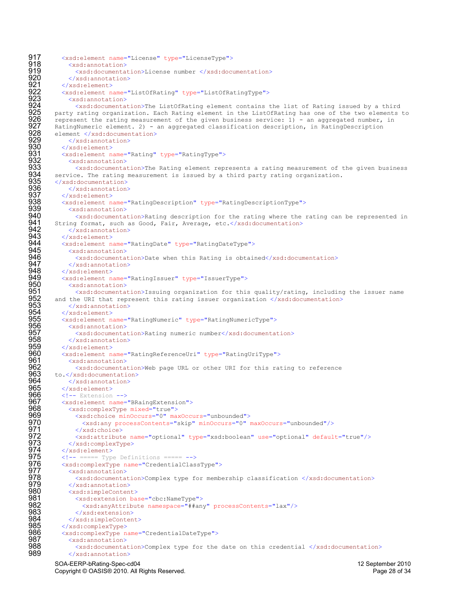```
917 <xsd:element name="License" type="LicenseType"><br>918 <xsd:annotation>
918 <xsd:annotation><br>919 <xsd:documenta
919 <xsd:documentation>License number </xsd:documentation><br>920 </xsd:annotation>
920 \langle x \rangle /xsd:annotation><br>921 \langle x \rangle /xsd:element>
921 </xsd:element><br>922 <xsd:element n
922 <xsd:element name="ListOfRating" type="ListOfRatingType"><br>923 <xsd:annotation><br>924 <xsd:documentation>The ListOfRating element contains party rating organization. Each Rating element in the ListO
                  <xsd:annotation>
                    924 <xsd:documentation>The ListOfRating element contains the list of Rating issued by a third 
925 party rating organization. Each Rating element in the ListOfRating has one of the two elements to<br>926 persent the rating measurement of the given business service: 1) - an aggregated number, in<br>927 RatingNumeric elemen
            represent the rating measurement of the given business service: 1) - an aggregated number, in
927 RatingNumeric element. 2) - an aggregated classification description, in RatingDescription<br>928 </xsd:annotation><br>929 </xsd:element><br>931 </xsd:element name="Rating" type="RatingType"><br>932 <xsd:annotation>
           element </xsd:documentation>
                  929 </xsd:annotation> 
              \langle xsd:element>
              931 <xsd:element name="Rating" type="RatingType"> 
932 <xsd:annotation><br>933 <xsd:documenta
933 \leq \times ssd: documentation>The Rating element represents a rating measurement of the given business 934 service. The rating measurement is issued by a third party rating organization.
934 service. The rating measurement is issued by a third party rating organization.<br>935 </xsd:documentation>
935 \langle x \rangle /xsd:documentation><br>936 \langle x \rangle /xsd:annotation
936 </xsd:annotation><br>937 </xsd:element><br>938 <xsd:element name="<br>939 <xsd:annotation>
              937 </xsd:element> 
              938 <xsd:element name="RatingDescription" type="RatingDescriptionType"> 
939 <xsd:annotation><br>940 <xsd:documenta
940 \leqxsd:documentation>Rating description for the rating where the rating can be represented in 941 string format, such as Good, Fair, Average, etc.\leqxsd:documentation>
941 String format, such as Good, Fair, Average, etc.</xsd:documentation> 
942 \langle x \cdot x \cdot a : \text{annotation} \rangle<br>943 \langle x \cdot a : \text{element} \rangle943 </xsd:element><br>944 <xsd:element n
944 <xsd:element name="RatingDate" type="RatingDateType"><br>945 <xsd:annotation>
945 <xsd:annotation><br>946 <xsd:documenta
946 \leq xsd:documentation>Date when this Rating is obtained\leq xsd:documentation><br>947 \leq xsd:annotation>
947 \langle x \rangle /xsd:annotation><br>948 \langle x \ranglesd:element>
948 </xsd:element><br>949 <xsd:element n
949 <xsd:element name="RatingIssuer" type="IssuerType"><br>950 <xsd:annotation>
950 <xsd:annotation><br>951 <xsd:documenta
Subsequentially the state organization for this quality/rating, including the issuer name<br>
952 and the URI that represent this rating issuer organization </xsd:documentation><br>
954 </xsd:element>
           and the URI that represent this rating issuer organization \langle x \ranglexsd:documentation>
                  953 </xsd:annotation> 
954 </xsd:element> 
955 <xsd:element name="RatingNumeric" type="RatingNumericType"><br>956 <xsd:annotation>
956 <xsd:annotation><br>957 - Sandidocumenta
957 <xsd:documentation>Rating numeric number</xsd:documentation><br>958 </xsd:annotation>
958 </xsd:annotation><br>959 </xsd:element>
959 </xsd:element><br>960 <xsd:element n
960 <xsd:element name="RatingReferenceUri" type="RatingUriType"><br>961 <xsd:annotation>
961 <xsd:annotation><br>962 <xsd:documenta
962 \timesxsd:documentation>Web page URL or other URI for this rating to reference <br>963 to.</xsd:documentation>
963 to. \langle x \rangle to. \langle x \rangle documentation >
964 \langle x \rangle /xsd:annotation><br>965 \langle x \rangle /xsd:element>
965 </xsd:element><br>966 <!-- Extension
966 <!-- Extension --><br>967 <xsd:element name=
967 < xsd:element name="BRaingExtension"><br>968 < xsd:complexType mixed="true">
968 <xsd:complexType mixed="true"><br>969 <xsd:choice minOccurs="0" ma
969 <xsd:choice minOccurs="0" maxOccurs="unbounded"><br>970 <xsd:any processContents="skip" minOccurs="0" i
970 <xsd:any processContents="skip" minOccurs="0" maxOccurs="unbounded"/><br>971 </xsd:choice><br>972 <xsd:attribute name="optional" type="xsd:boolean" use="optional" defaul
                    971 </xsd:choice> 
972 <xsd:attribute name="optional" type="xsd:boolean" use="optional" default="true"/><br>973 </xsd:complexType>
973 </xsd:complexType><br>974 </xsd:element><br>975 <!-- ===== Type Defi
              974 </xsd:element> 
975 <!-- ===== Type Definitions ===== --><br>976 <xsd:complexType name="CredentialClas<br>977 <xsd:annotation>
               976 <xsd:complexType name="CredentialClassType"> 
977 <xsd:annotation><br>978 <xsd:documenta
978 <xsd:documentation>Complex type for membership classification </xsd:documentation><br>979 </xsd:annotation>
979 </xsd:annotation><br>980 <xsd:simpleConten
980 <xsd:simpleContent><br>981 <xsd:extension ba
981 <xsd:extension base="cbc:NameType"><br>982 <xsd:anyAttribute namespace="##an
982 <xsd:anyAttribute namespace="##any" processContents="lax"/><br>983 </xsd:extension>
983 </xsd:extension><br>984 </xsd:simpleConter
984 </xsd:simpleContent><br>985 </xsd:complexType>
985 </xsd:complexType><br>986 <xsd:complexType n
986 <xsd:complexType name="CredentialDateType"><br>987 <xsd:annotation>
987 <xsd:annotation><br>988 <xsd:documenta
988 <xsd:documentation>Complex type for the date on this credential </xsd:documentation><br>989 </xsd:annotation>
                  989 </xsd:annotation>
```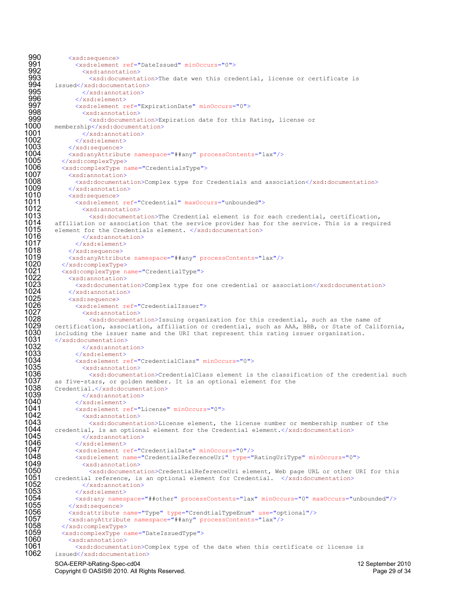990 <xsd:sequence><br>991 <xsd:element 991 <xsd:element ref="DateIssued" minOccurs="0"><br>992 <xsd:annotation> 992 <xsd:annotation><br>993 <xsd:documenta 993  $\leq$  <xsd:documentation>The date wen this credential, license or certificate is 994 issued $\leq$ /xsd:documentation> 994 issued</xsd:documentation><br>995 </xsd:annotation> 995 </xsd:annotation><br>996 </xsd:element> 996 </xsd:element><br>997 <xsd:element r 997 <xsd:element ref="ExpirationDate" minOccurs="0"><br>998 <xsd:annotation> 998 <xsd:annotation><br>999 <xsd:documenta 999  $\times$ xsd:documentation>Expiration date for this Rating, license or 1000 membership $\times$ xsd:documentation> 1000 membership</xsd:documentation><br>1001 </xsd:annotation> 1001  $\langle x \cdot 3a : \text{annotation} \rangle$ <br>1002  $\langle x \cdot 3a : \text{element} \rangle$ 1002 </xsd:element><br>1003 </xsd:sequence> 1003 </xsd:sequence> 1004 <xsd:anyAttribute namespace="##any" processContents="lax"/><br>1005 </xsd:complexTvpe> 1005 </xsd:complexType> 1006 <xsd:complexType name="CredentialsType"> 1007 <xsd:annotation><br>1008 <xsd:documenta 1008 <xsd:documentation>Complex type for Credentials and association</xsd:documentation><br>1009 </xsd:annotation> 1009 </xsd:annotation><br>1010 <xsd:sequence> 1010 <xsd:sequence> 1011 <xsd:element ref="Credential" maxOccurs="unbounded"><br>1012 <xsd:annotation> 1012 <xsd:annotation><br>1013 <xsd:documenta 1013 <xsd:documentation>The Credential element is for each credential, certification, 1014 affiliation or association that the service provider has for the service. This is a required 1015 element for the Credentials element.  $\langle x \rangle$  added numeration 1015 element for the Credentials element.  $\langle x \rangle$  /xsd:documentation><br>1016  $\langle x \rangle$  /xsd:annotation> 1016  $\langle x \text{sd:annotation} \rangle$ <br>1017  $\langle x \text{sd:element} \rangle$ 1017 </xsd:element> 1018 </xsd:sequence><br>1019 <xsd:anyAttribu<br>1020 </xsd:complexType 1019 <xsd:anyAttribute namespace="##any" processContents="lax"/> 1020 </xsd:complexType> 1021 <xsd:complexType name="CredentialType"><br>1022 <xsd:annotation><br>1023 <xsd:documentation>Complex type for <xsd:annotation> 1023 <xsd:documentation>Complex type for one credential or association</xsd:documentation><br>1024 </xsd:annotation><br>1025 <xsd:sequence> </xsd:annotation> 1025 <xsd:sequence> 1026 <xsd:element ref="CredentialIssuer"><br>1027 <xsd:annotation><br>1028 <xsd:documentation>Issuing organ: <xsd:annotation> 1028 <xsd:documentation>Issuing organization for this credential, such as the name of 1029 certification, association, affiliation or credential, such as AAA, BBB, or State of Calif 1030 including the issuer name and the U certification, association, affiliation or credential, such as AAA, BBB, or State of California, 1030 including the issuer name and the URI that represent this rating issuer organization.<br>1031 </xsd:documentation> 1031 </xsd:documentation><br>1032 </xsd:annotation> 1032 </xsd:annotation><br>1033 </xsd:element> 1033 </xsd:element> 1034 <xsd:element ref="CredentialClass" minOccurs="0"><br>1035 <xsd:annotation> 1035 <xsd:annotation> 1036  $\leq$   $\times$ sd:documentation>CredentialClass element is the classification of the credential such 1037 as five-stars, or golden member. It is an optional element for the **1037** as five-stars, or golden member. It is an optional element for the  $1038$  Credential.</xsd:documentation> 1038 Credential.</xsd:documentation><br>1039 </xsd:annotation> 1039 </xsd:annotation><br>1040 </xsd:element> 1040 </xsd:element> 1041 <xsd:element ref="License" minOccurs="0"><br>1042 <xsd:annotation> 1042 <xsd:annotation><br>1043 <xsd:documentat 1043  $\leq x$ sd:documentation>License element, the license number or membership number of the 1044 credential, is an optional element for the Credential element. $\leq x$ sd:documentation> **1044** credential, is an optional element for the Credential element. $\langle x \rangle$ sd:documentation $>$ 1045 </xsd:annotation><br>1046 </xsd:element> 1046 </xsd:element> 1047 <xsd:element ref="CredentialDate" minOccurs="0"/><br>1048 <xsd:element name="CredentialReferenceUri" type=" 1048 <xsd:element name="CredentialReferenceUri" type="RatingUriType" minOccurs="0"> 1049 <xsd:annotation> 1050  $\times$ xsd:documentation>CredentialReferenceUri element, Web page URL or other URI for this<br>1051 credential reference, is an optional element for Credential.  $\times$ xsd:documentation> 1051 credential reference, is an optional element for Credential. </xsd:documentation> 1052 </xsd:annotation><br>1053 </xsd:element> 1053 </xsd:element> 1054 <xsd:any namespace="##other" processContents="lax" minOccurs="0" maxOccurs="unbounded"/><br>1055 </xsd:sequence> 1055 </xsd:sequence> 1056 <xsd:attribute name="Type" type="CrendtialTypeEnum" use="optional"/> 1057 <xsd:anyAttribute namespace="##any" processContents="lax"/> 1058 </xsd:complexType> 1059 <xsd:complexType name="DateIssuedType"><br>1060 <xsd:annotation> 1060 <xsd:annotation><br>1061 <xsd:documenta  $1061$  <xsd:documentation>Complex type of the date when this certificate or license is  $1062$  issued</xsd:documentation> issued</xsd:documentation>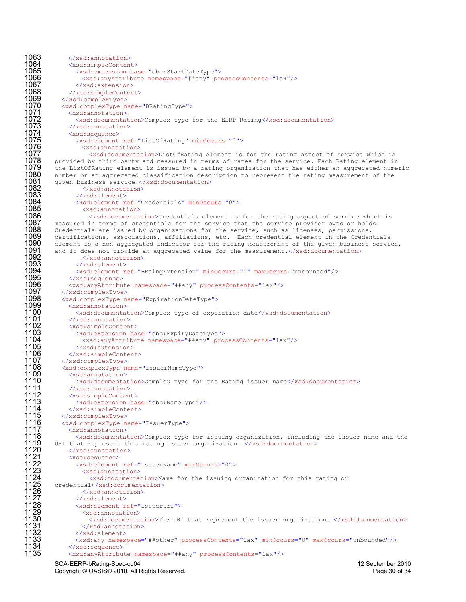```
1063 </xsd:annotation><br>1064 <xsd:simpleConten
1064 <xsd:simpleContent> 
1065 <xsd:extension base="cbc:StartDateType"> 
1066 \timesxsd:anyAttribute namespace="##any" processContents="lax"/><br>1067 \times/xsd:extension>
1067 </xsd:extension> 
1068 </xsd:simpleContent><br>1069 </xsd:complexType>
1069 </xsd:complexType> 
1070 <xsd:complexType name="BRatingType"><br>1071 <xsd:annotation><br>1072 <xsd:documentation>Complex type
                <xsd:annotation>
1072 \langle xsd:documentation>Complex type for the EERP-Rating\langle xsd:documentation> 1073\rangle1073 </xsd:annotation> 
                <xsd:sequence>
1075 <xsd:element ref="ListOfRating" minOccurs="0"><br>1076 <xsd:annotation>
1076 <xsd:annotation> 
1077 \leq \times \leq \leq \leq \leq \leq \leq \leq \leq \leq \leq \leq \leq \leq \leq \leq \leq \leq \leq \leq \leq \leq \leq \leq \leq \leq \leq \leq \leq \leq \leq \leq \leq \leq \leq 1078 provided by third party and measured in terms of rates for the service. Each Rating element in<br>1079 the ListOfRating element is issued by a rating organization that has either an aggregated nume
1079 the ListOfRating element is issued by a rating organization that has either an aggregated numeric<br>1080 – number or an aggregated classification description to represent the rating measurement of the
1080 mumber or an aggregated classification description to represent the rating measurement of the 1081 given business service.</xsd:documentation>
1081 given business service.\langle x \ranglesd:documentation><br>1082 \langle x \ranglesd:annotation>
1082 \langle x \text{sd:annotation} \rangle<br>1083 \langle x \text{sd:element} \rangle1083 </xsd:element> 
1084 <xsd:element ref="Credentials" minOccurs="0"><br>1085 <xsd:annotation>
1085 <xsd:annotation><br>1086 <xsd:documenta
1086 \timesxsd:documentation>Credentials element is for the rating aspect of service which is 1087 measured in terms of credentials for the service that the service provider owns or holds.
1087 measured in terms of credentials for the service that the service provider owns or holds.<br>1088 Credentials are issued by organizations for the service, such as licenses, permissions,
1088 \, Credentials are issued by organizations for the service, such as licenses, permissions, 1089 \, certifications, associations, affiliations, etc. Each credential element in the Creden
1089 certifications, associations, affiliations, etc. Each credential element in the Credentials<br>1090 element is a non-aggregated indicator for the rating measurement of the given business servi
1090 element is a non-aggregated indicator for the rating measurement of the given business service,<br>1091 and it does not provide an aggregated value for the measurement.</xsd:documentation>
1091 and it does not provide an aggregated value for the measurement.</xsd:documentation> 
1092 </xsd:annotation><br>1093 </xsd:element>
1093 </xsd:element> 
1094 <xsd:element ref="BRaingExtension" minOccurs="0" maxOccurs="unbounded"/><br>1095 </xsd:sequence>
1095 </xsd:sequence> 
1096 <xsd:anyAttribute namespace="##any" processContents="lax"/><br>1097 </xsd:complexTvpe>
1097 </xsd:complexType> 
1098 <xsd:complexType name="ExpirationDateType"> 
1099 <xsd:annotation><br>1100 <xsd:documenta
1100 <xsd:documentation>Complex type of expiration date</xsd:documentation><br>1101 </xsd:annotation>
1101 </xsd:annotation><br>1102 <xsd:simpleConten
1102 <xsd:simpleContent> 
1103 <xsd:extension base="cbc:ExpiryDateType"><br>1104 <xsd:anyAttribute namespace="##any" pro
1104 <xsd:anyAttribute namespace="##any" processContents="lax"/><br>1105 </xsd:extension>
1105 </xsd:extension> 
1106 </xsd:simpleContent><br>1107 </xsd:complexType>
1107 </xsd:complexType> 
1108 <xsd:complexType name="IssuerNameType"> 
1109 <xsd:annotation><br>1110 <xsd:documenta
1110 < xsd:documentation>Complex type for the Rating issuer name</xsd:documentation><br>1111 </xsd:annotation>
1111 </xsd:annotation><br>1112 <xsd:simpleConten
1112 <xsd:simpleContent> 
1113 <xsd:extension base="cbc:NameType"/><br>1114 </xsd:simpleContent>
1114 </xsd:simpleContent><br>1115 </xsd:complexType>
1115 </xsd:complexType> 
1116 <xsd:complexType name="IssuerType"> 
1117 <xsd:annotation><br>1118 <xsd:documenta
1118 <xsd:documentation>Complex type for issuing organization, including the issuer name and the 
1119 URI that represent this rating issuer organization. </xsd:documentation><br>
1120 </xsd:annotation><br>
1121 <xsd:sequence><br>
1122 <xsd:element ref="IssuerName" minOccurs="0">
                 </xsd:annotation>
                 <xsd:sequence>
1122 <xsd:element ref="IssuerName" minOccurs="0"><br>1123 <xsd:annotation>
1123 <xsd:annotation><br>1124 <xsd:documentat
1124 <xsd:documentation>Name for the issuing organization for this rating or 1125 credential</xsd:documentation><br>1126 </xsd:annotation>
            credential</xsd:documentation>
1126 </xsd:annotation><br>1127 </xsd:element>
1127 </xsd:element> 
1128 <xsd:element ref="IssuerUri"><br>1129 <xsd:annotation>
1129 <xsd:annotation><br>1130 <xsd:documenta
1130 <xsd:documentation>The URI that represent the issuer organization. </xsd:documentation><br>1131 </xsd:annotation><br>1132 </xsd:element>
                      </xsd:annotation>
1132 </xsd:element> 
1133 <xsd:any namespace="##other" processContents="lax" minOccurs="0" maxOccurs="unbounded"/><br>1134 </xsd:sequence><br>1135 <xsd:anyAttribute namespace="##any" processContents="lax"/>
                 </xsd:sequence>
                 1135 <xsd:anyAttribute namespace="##any" processContents="lax"/>
```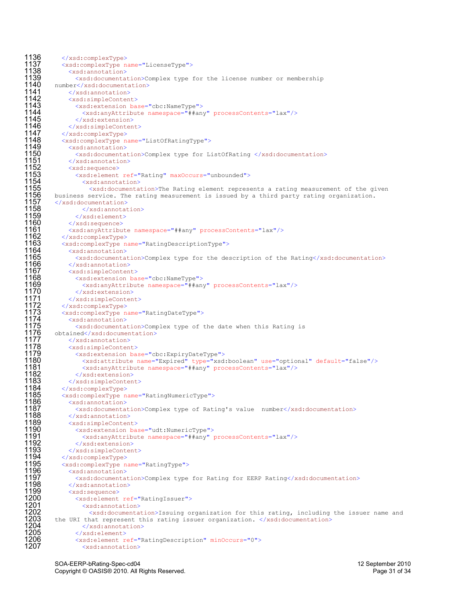1136 </xsd:complexType><br>1137 <xsd:complexType n<br>1138 <xsd:annotation> 1137 <xsd:complexType name="LicenseType"> 1138 <xsd:annotation><br>1139 <xsd:documenta 1139  $\langle xsd: documentation>Complex type for the license number or membership number  $\langle xsd: documentation>$$ 1140 number</xsd:documentation><br>1141 </xsd:annotation> 1141 </xsd:annotation><br>1142 <xsd:simpleConten 1142 <xsd:simpleContent> <asd:extension base="cbc:NameType"><br>1144 <asd:anyAttribute namespace="##an> 1144 <xsd:anyAttribute namespace="##any" processContents="lax"/><br>1145 </xsd:extension> 1145 </xsd:extension> 1146 </xsd:simpleContent><br>1147 </xsd:complexType> 1147 </xsd:complexType> 1148 <xsd:complexType name="ListOfRatingType"> 1149 <xsd:annotation><br>1150 <xsd:documenta 1150 <xsd:documentation>Complex type for ListOfRating </xsd:documentation><br>1151 </xsd:annotation><br>1152 <xsd:sequence>  $\langle xsd:annotation\rangle$ 1152 <xsd:sequence> 1153 <xsd:element ref="Rating" maxOccurs="unbounded"><br>1154 <xsd:annotation> 1154 <xsd:annotation> 1155 <xsd:documentation>The Rating element represents a rating measurement of the given<br>1156 business service. The rating measurement is issued by a third party rating organization. 1156 business service. The rating measurement is issued by a third party rating organization. 1157 </xsd:documentation><br>1158 </xsd:annotat<br>1159 </xsd:element>  $\langle x \rangle$  </xsd: annotation> 1159 </xsd:element><br>1160 </xsd:sequence> 1160 </xsd:sequence> 1161 <xsd:anyAttribute namespace="##any" processContents="lax"/><br>1162 </xsd:complexType> 1162 </xsd:complexType><br>1163 <xsd:complexType n 1163 <xsd:complexType name="RatingDescriptionType"><br>1164 <xsd:annotation> 1164 <xsd:annotation><br>1165 <xsd:documenta 1165 <xsd:documentation>Complex type for the description of the Rating</xsd:documentation><br>1166 </xsd:annotation> 1166 </xsd:annotation> 1167 <xsd:simpleContent><br>1168 <xsd:extension ba 1168 <xsd:extension base="cbc:NameType"> 1169 <xsd:anyAttribute namespace="##any" processContents="lax"/> 1170 </xsd:extension> 1171 </xsd:simpleContent> </xsd:complexType> 1173 <xsd:complexType name="RatingDateType"><br>1174 <xsd:annotation> 1174 <xsd:annotation><br>1175 <xsd:documenta<br>1176 obtained</xsd:docume<br>1177 </xsd:annotation <xsd:documentation>Complex type of the date when this Rating is obtained</xsd:documentation> 1177 </xsd:annotation> 1178 <xsd:simpleContent><br>1179 <xsd:extension ba 1179 <xsd:extension base="cbc:ExpiryDateType"><br>1180 <xsd:attribute name="Expired" type="xsd 1180  $\leq$  <xsd:attribute name="Expired" type="xsd:boolean" use="optional" default="false"/> 1181 <xsd:anyAttribute namespace="##any" processContents="lax"/> 1182 </xsd:extension><br>1183 </xsd:simpleConten 1183 </xsd:simpleContent><br>1184 </xsd:complexTvpe> 1184 </xsd:complexType> 1185 <xsd:complexType name="RatingNumericType"><br>1186 <xsd:annotation><br>1187 <xsd:documentation>Complex type of Rat. 1186 <xsd:annotation> 1187 <xsd:documentation>Complex type of Rating's value number</xsd:documentation><br>1188 </xsd:annotation> 1188 </xsd:annotation><br>1189 <xsd:simpleConten 1189 <xsd:simpleContent> 1190 <xsd:extension base="udt:NumericType"><br>1191 <xsd:anyAttribute namespace="##any" } 1191 <xsd:anyAttribute namespace="##any" processContents="lax"/> 1192 </xsd:extension><br>1193 </xsd:simpleConten 1193 </xsd:simpleContent> 1194 </xsd:complexType> 1195 <xsd:complexType name="RatingType"> 1196 <xsd:annotation><br>1197 <xsd:documenta 1197 <xsd:documentation>Complex type for Rating for EERP Rating</xsd:documentation><br>1198 </xsd:annotation> 1198 </xsd:annotation> 1199 <xsd:sequence> 1200 <xsd:element ref="RatingIssuer"> 1201 <br>
1202 <br>
1203 the URI that represent t<br>
1204 <br>
1205 <br>
1205 <br>
1205 <br>
1205 <br>
1205 <br>
1205 <br>
1207 <br>
1207 <br>
1207 <br>
1207 <br>
1207 <br>
1207 <br>
1207 <br>
1207 <br>
1207 <br>
1208 <br>
1207 <br>
1208 <br>
1208 <br>
1208 <br>
1208 <br>
1208 <br>
1208 <br>
1208 <br>
12 1202 <xsd:documentation>Issuing organization for this rating, including the issuer name and the URI that represent this rating issuer organization. </xsd:documentation>  $\langle x \rangle$  </xsd: annotation> 1205 </xsd:element> 1206 <xsd:element ref="RatingDescription" minOccurs="0"> <xsd:annotation>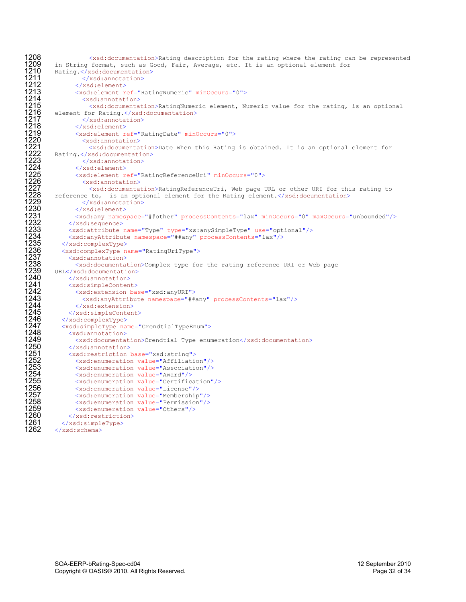4208 <xsd:documentation>Rating description for the rating where the rating can be represented<br>1209 in String format, such as Good, Fair, Average, etc. It is an optional element for<br>1210 Rating.</xsd:documentation><br>1211 </x in String format, such as Good, Fair, Average, etc. It is an optional element for Rating.</xsd:documentation> 1211  $\langle x \rangle$   $\langle x \rangle$   $\langle x \rangle$   $\langle x \rangle$   $\langle x \rangle$   $\langle x \rangle$   $\langle x \rangle$   $\langle x \rangle$   $\langle x \rangle$   $\langle x \rangle$   $\langle x \rangle$ 1212 </xsd:element><br>
1213 <</xsd:element<br>
1214 <xsd:element<br>
1215 <xsd:annotat<br>
1216 element for Rating.</xsd:annotat<br>
1217 </xsd:annotat<br>
1218 </xsd:element> 1213 <xsd:element ref="RatingNumeric" minOccurs="0"> <xsd:annotation> 1215 <xsd:documentation>RatingNumeric element, Numeric value for the rating, is an optional element for Rating.</xsd:documentation> </xsd:annotation> 1218  $\leftarrow$  /xsd:element<br>
1219  $\leftarrow$  xsd:element<br>
1220  $\leftarrow$  xsd:annotat<br>
12221  $\leftarrow$  xsd:docum<br>
12222 Rating. $\leftarrow$ /xsd:docum<br>
1223  $\leftarrow$ /xsd:element<br>
1225  $\leftarrow$  xsd:element<br>
1226  $\leftarrow$  xsd:element<br>
1226  $\leftarrow$  xsd:element<br> 1219 <xsd:element ref="RatingDate" minOccurs="0"> <xsd:annotation> <xsd:documentation>Date when this Rating is obtained. It is an optional element for Rating.</xsd:documentation> 1223 </xsd:annotation> </xsd:element> 1225 <xsd:element ref="RatingReferenceUri" minOccurs="0"> <xsd:annotation> 1227 <xsd:documentation>RatingReferenceUri, Web page URL or other URI for this rating to 1228 reference to, is an optional element for the Rating element.</xsd:documentation> </xsd:annotation> </xsd:element> 1231 <xsd:any namespace="##other" processContents="lax" minOccurs="0" maxOccurs="unbounded"/> 1232 <br>
1233 <br>
xsd:attribute<br>
1234 <br>
xsd:anyAttribute<br>
1235 <br>
xsd:complexType<br>
1237 <br>
xsd:annotation<br>
1238 <br>
xsd:document<br>
1239 URL</xsd:documentat 1233 <xsd:attribute name="Type" type="xs:anySimpleType" use="optional"/> 1234 <xsd:anyAttribute namespace="##any" processContents="lax"/> 1235 </xsd:complexType> 1236 <xsd:complexType name="RatingUriType"> <xsd:annotation> 1238 <xsd:documentation>Complex type for the rating reference URI or Web page 1239 URL</xsd:documentation><br>1240 </xsd:annotation> 1240 </xsd:annotation><br>1241 <xsd:simpleConten 1241 <xsd:simpleContent> <abd>>>>>>>>>>>>>>>>>>>>>+"xsd:extension base="xsd:anyURI">++"<br>1243 <asd:anyAttribute namespace="## 1243 <xsd:anyAttribute namespace="##any" processContents="lax"/> 1244 </xsd:extension><br>1245 </xsd:simpleConten  $1245$   $\langle$ /xsd:simpleContent><br>1246  $\langle$ /xsd:complexType> 1246 </xsd:complexType><br>1247 <xsd:simpleType na<br>1248 <xsd:annotation><br>1249 <xsd:documenta 1247 <xsd:simpleType name="CrendtialTypeEnum"> 1248 <xsd:annotation> 1249 <xsd:documentation>Crendtial Type enumeration</xsd:documentation><br>1250 </xsd:annotation> 1250 </xsd:annotation><br>
1251 <xsd:restriction |<br>
1252 <xsd:restriction |<br>
1252 <xsd:enumeration<br>
1253 <xsd:enumeration<br>
1255 (xsd:enumeration<br>
1256 (xsd:enumeration<br>
1258 <xsd:enumeration<br>
1258 <xsd:enumeration<br>
1259 <xsd: <xsd:restriction base="xsd:string"> 1252 <xsd:enumeration value="Affiliation"/> 1253 <xsd:enumeration value="Association"/> 1254 <xsd:enumeration value="Award"/> 1255 <xsd:enumeration value="Certification"/> 1256 <xsd:enumeration value="License"/> 1257 <xsd:enumeration value="Membership"/> 1258 <xsd:enumeration value="Permission"/> 1259  $\langle xsd:$ enumeration value="Others"/><br>1260  $\langle xsd:$ restriction> 1260 </xsd:restriction><br>1261 </xsd:simpleType> 1261  $\langle xsd:simpleType\rangle$ <br>1262  $\langle xsd:schema\rangle$ 1262 </xsd:schema>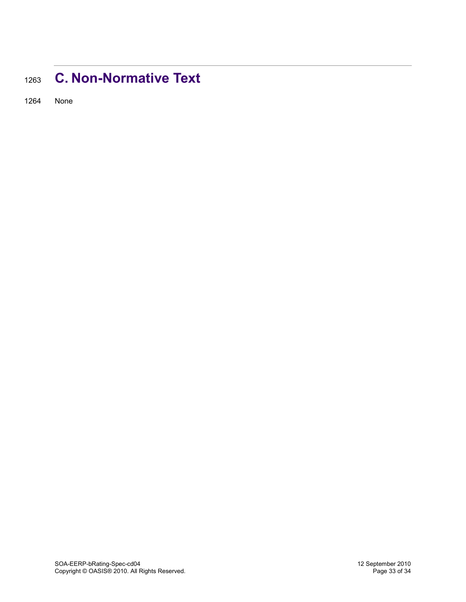# <sup>1263</sup>**C. Non-Normative Text**

1264 None